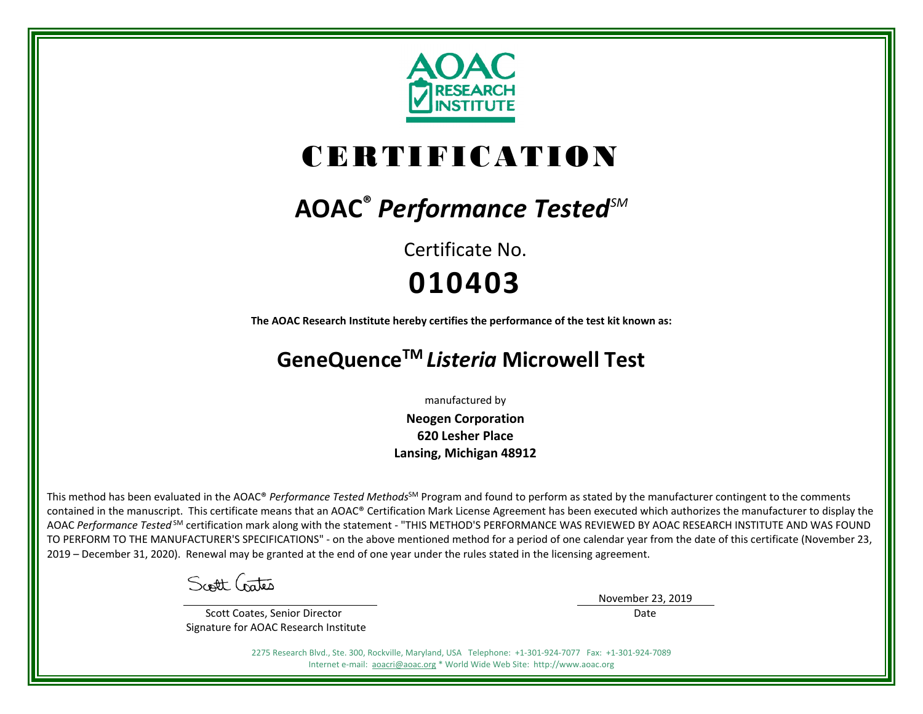

# CERTIFICATION

# **AOAC®** *Performance TestedSM*

Certificate No. **010403**

**The AOAC Research Institute hereby certifies the performance of the test kit known as:**

# **GeneQuenceTM** *Listeria* **Microwell Test**

manufactured by

**Neogen Corporation 620 Lesher Place Lansing, Michigan 48912**

This method has been evaluated in the AOAC® *Performance Tested Methods*<sup>SM</sup> Program and found to perform as stated by the manufacturer contingent to the comments contained in the manuscript. This certificate means that an AOAC® Certification Mark License Agreement has been executed which authorizes the manufacturer to display the AOAC *Performance Tested* SM certification mark along with the statement - "THIS METHOD'S PERFORMANCE WAS REVIEWED BY AOAC RESEARCH INSTITUTE AND WAS FOUND TO PERFORM TO THE MANUFACTURER'S SPECIFICATIONS" - on the above mentioned method for a period of one calendar year from the date of this certificate (November 23, 2019 – December 31, 2020). Renewal may be granted at the end of one year under the rules stated in the licensing agreement.

Scott Gates

 Scott Coates, Senior Director Signature for AOAC Research Institute November 23, 2019 Date

2275 Research Blvd., Ste. 300, Rockville, Maryland, USA Telephone: +1-301-924-7077 Fax: +1-301-924-7089 Internet e-mail: [aoacri@aoac.org](mailto:aoacri@aoac.org) \* World Wide Web Site: http://www.aoac.org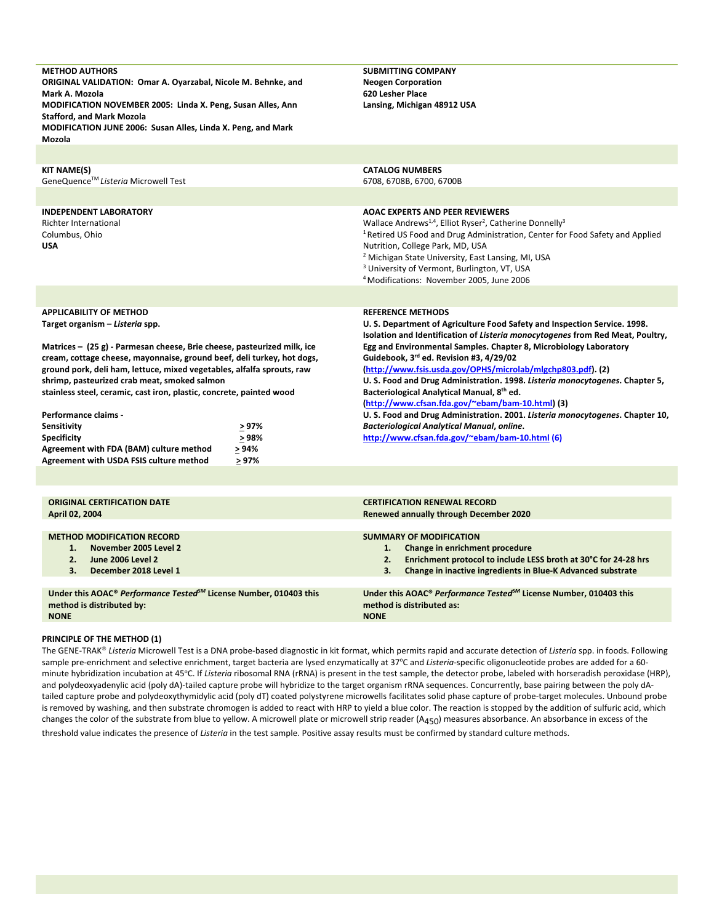| <b>METHOD AUTHORS</b><br>ORIGINAL VALIDATION: Omar A. Oyarzabal, Nicole M. Behnke, and<br>Mark A. Mozola<br>MODIFICATION NOVEMBER 2005: Linda X. Peng, Susan Alles, Ann<br><b>Stafford, and Mark Mozola</b><br>MODIFICATION JUNE 2006: Susan Alles, Linda X. Peng, and Mark<br>Mozola                                                                                                                                                                                                                                                                                                                                           |  | <b>SUBMITTING COMPANY</b><br><b>Neogen Corporation</b><br>620 Lesher Place<br>Lansing, Michigan 48912 USA                                                                                                                                                                                                                                                                                                                                                                                                                                                                                                                                                                                                                                                    |  |  |  |  |
|---------------------------------------------------------------------------------------------------------------------------------------------------------------------------------------------------------------------------------------------------------------------------------------------------------------------------------------------------------------------------------------------------------------------------------------------------------------------------------------------------------------------------------------------------------------------------------------------------------------------------------|--|--------------------------------------------------------------------------------------------------------------------------------------------------------------------------------------------------------------------------------------------------------------------------------------------------------------------------------------------------------------------------------------------------------------------------------------------------------------------------------------------------------------------------------------------------------------------------------------------------------------------------------------------------------------------------------------------------------------------------------------------------------------|--|--|--|--|
|                                                                                                                                                                                                                                                                                                                                                                                                                                                                                                                                                                                                                                 |  |                                                                                                                                                                                                                                                                                                                                                                                                                                                                                                                                                                                                                                                                                                                                                              |  |  |  |  |
| <b>KIT NAME(S)</b><br>GeneQuence™ Listeria Microwell Test                                                                                                                                                                                                                                                                                                                                                                                                                                                                                                                                                                       |  | <b>CATALOG NUMBERS</b><br>6708, 6708B, 6700, 6700B                                                                                                                                                                                                                                                                                                                                                                                                                                                                                                                                                                                                                                                                                                           |  |  |  |  |
| <b>INDEPENDENT LABORATORY</b><br>Richter International<br>Columbus, Ohio<br><b>USA</b>                                                                                                                                                                                                                                                                                                                                                                                                                                                                                                                                          |  | <b>AOAC EXPERTS AND PEER REVIEWERS</b><br>Wallace Andrews <sup>1,4</sup> , Elliot Ryser <sup>2</sup> , Catherine Donnelly <sup>3</sup><br><sup>1</sup> Retired US Food and Drug Administration, Center for Food Safety and Applied<br>Nutrition, College Park, MD, USA<br><sup>2</sup> Michigan State University, East Lansing, MI, USA<br><sup>3</sup> University of Vermont, Burlington, VT, USA<br><sup>4</sup> Modifications: November 2005, June 2006                                                                                                                                                                                                                                                                                                   |  |  |  |  |
|                                                                                                                                                                                                                                                                                                                                                                                                                                                                                                                                                                                                                                 |  |                                                                                                                                                                                                                                                                                                                                                                                                                                                                                                                                                                                                                                                                                                                                                              |  |  |  |  |
| <b>APPLICABILITY OF METHOD</b><br>Target organism - Listeria spp.<br>Matrices - (25 g) - Parmesan cheese, Brie cheese, pasteurized milk, ice<br>cream, cottage cheese, mayonnaise, ground beef, deli turkey, hot dogs,<br>ground pork, deli ham, lettuce, mixed vegetables, alfalfa sprouts, raw<br>shrimp, pasteurized crab meat, smoked salmon<br>stainless steel, ceramic, cast iron, plastic, concrete, painted wood<br>Performance claims -<br>> 97%<br><b>Sensitivity</b><br>> 98%<br><b>Specificity</b><br>Agreement with FDA (BAM) culture method<br>$> 94\%$<br>Agreement with USDA FSIS culture method<br>$\geq 97\%$ |  | <b>REFERENCE METHODS</b><br>U. S. Department of Agriculture Food Safety and Inspection Service. 1998.<br>Isolation and Identification of Listeria monocytogenes from Red Meat, Poultry,<br>Egg and Environmental Samples. Chapter 8, Microbiology Laboratory<br>Guidebook, 3 <sup>rd</sup> ed. Revision #3, 4/29/02<br>(http://www.fsis.usda.gov/OPHS/microlab/mlgchp803.pdf). (2)<br>U. S. Food and Drug Administration. 1998. Listeria monocytogenes. Chapter 5,<br>Bacteriological Analytical Manual, 8th ed.<br>(http://www.cfsan.fda.gov/~ebam/bam-10.html) (3)<br>U. S. Food and Drug Administration. 2001. Listeria monocytogenes. Chapter 10,<br><b>Bacteriological Analytical Manual, online.</b><br>http://www.cfsan.fda.gov/~ebam/bam-10.html (6) |  |  |  |  |
|                                                                                                                                                                                                                                                                                                                                                                                                                                                                                                                                                                                                                                 |  |                                                                                                                                                                                                                                                                                                                                                                                                                                                                                                                                                                                                                                                                                                                                                              |  |  |  |  |
| <b>ORIGINAL CERTIFICATION DATE</b><br>April 02, 2004                                                                                                                                                                                                                                                                                                                                                                                                                                                                                                                                                                            |  | <b>CERTIFICATION RENEWAL RECORD</b><br><b>Renewed annually through December 2020</b>                                                                                                                                                                                                                                                                                                                                                                                                                                                                                                                                                                                                                                                                         |  |  |  |  |
| <b>METHOD MODIFICATION RECORD</b><br>1.<br>November 2005 Level 2<br><b>June 2006 Level 2</b><br>2.<br>3.<br>December 2018 Level 1                                                                                                                                                                                                                                                                                                                                                                                                                                                                                               |  | <b>SUMMARY OF MODIFICATION</b><br>Change in enrichment procedure<br>1.<br>Enrichment protocol to include LESS broth at 30°C for 24-28 hrs<br>2.<br>3.<br>Change in inactive ingredients in Blue-K Advanced substrate                                                                                                                                                                                                                                                                                                                                                                                                                                                                                                                                         |  |  |  |  |
| Under this AOAC® Performance Tested <sup>SM</sup> License Number, 010403 this<br>method is distributed by:                                                                                                                                                                                                                                                                                                                                                                                                                                                                                                                      |  | Under this AOAC® Performance Tested <sup>SM</sup> License Number, 010403 this<br>method is distributed as:                                                                                                                                                                                                                                                                                                                                                                                                                                                                                                                                                                                                                                                   |  |  |  |  |

**NONE**

## **PRINCIPLE OF THE METHOD (1)**

The GENE-TRAK® Listeria Microwell Test is a DNA probe-based diagnostic in kit format, which permits rapid and accurate detection of Listeria spp. in foods. Following sample pre-enrichment and selective enrichment, target bacteria are lysed enzymatically at 37°C and *Listeria*-specific oligonucleotide probes are added for a 60minute hybridization incubation at 45°C. If Listeria ribosomal RNA (rRNA) is present in the test sample, the detector probe, labeled with horseradish peroxidase (HRP), and polydeoxyadenylic acid (poly dA)-tailed capture probe will hybridize to the target organism rRNA sequences. Concurrently, base pairing between the poly dAtailed capture probe and polydeoxythymidylic acid (poly dT) coated polystyrene microwells facilitates solid phase capture of probe-target molecules. Unbound probe is removed by washing, and then substrate chromogen is added to react with HRP to yield a blue color. The reaction is stopped by the addition of sulfuric acid, which changes the color of the substrate from blue to yellow. A microwell plate or microwell strip reader ( $A_{450}$ ) measures absorbance. An absorbance in excess of the threshold value indicates the presence of *Listeria* in the test sample. Positive assay results must be confirmed by standard culture methods.

**NONE**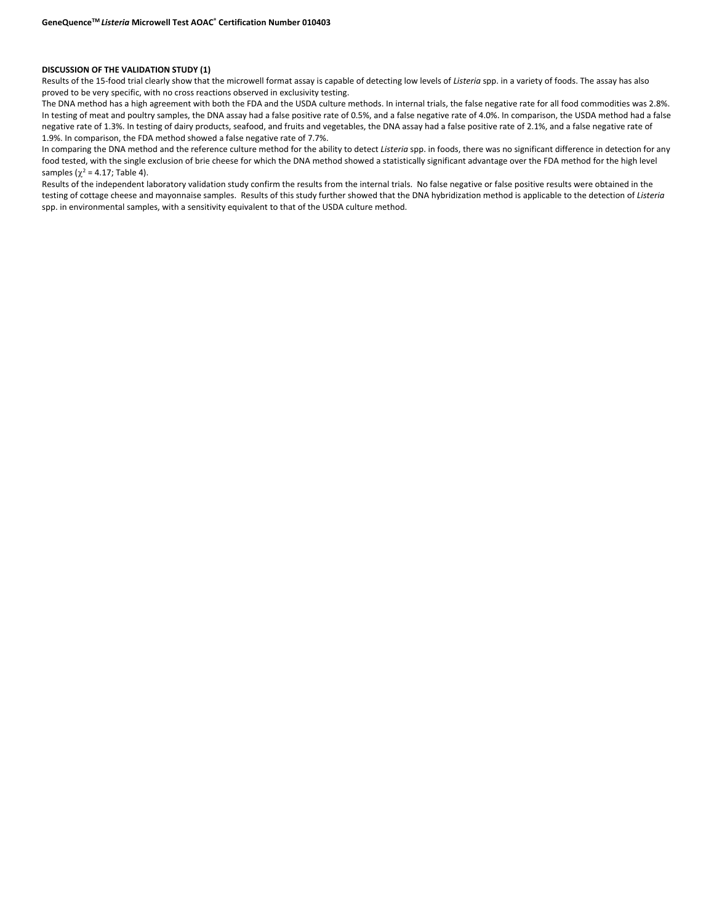### **DISCUSSION OF THE VALIDATION STUDY (1)**

Results of the 15-food trial clearly show that the microwell format assay is capable of detecting low levels of *Listeria* spp. in a variety of foods. The assay has also proved to be very specific, with no cross reactions observed in exclusivity testing.

The DNA method has a high agreement with both the FDA and the USDA culture methods. In internal trials, the false negative rate for all food commodities was 2.8%. In testing of meat and poultry samples, the DNA assay had a false positive rate of 0.5%, and a false negative rate of 4.0%. In comparison, the USDA method had a false negative rate of 1.3%. In testing of dairy products, seafood, and fruits and vegetables, the DNA assay had a false positive rate of 2.1%, and a false negative rate of 1.9%. In comparison, the FDA method showed a false negative rate of 7.7%.

In comparing the DNA method and the reference culture method for the ability to detect *Listeria* spp. in foods, there was no significant difference in detection for any food tested, with the single exclusion of brie cheese for which the DNA method showed a statistically significant advantage over the FDA method for the high level samples ( $\chi^2$  = 4.17; Table 4).

Results of the independent laboratory validation study confirm the results from the internal trials. No false negative or false positive results were obtained in the testing of cottage cheese and mayonnaise samples. Results of this study further showed that the DNA hybridization method is applicable to the detection of *Listeria* spp. in environmental samples, with a sensitivity equivalent to that of the USDA culture method.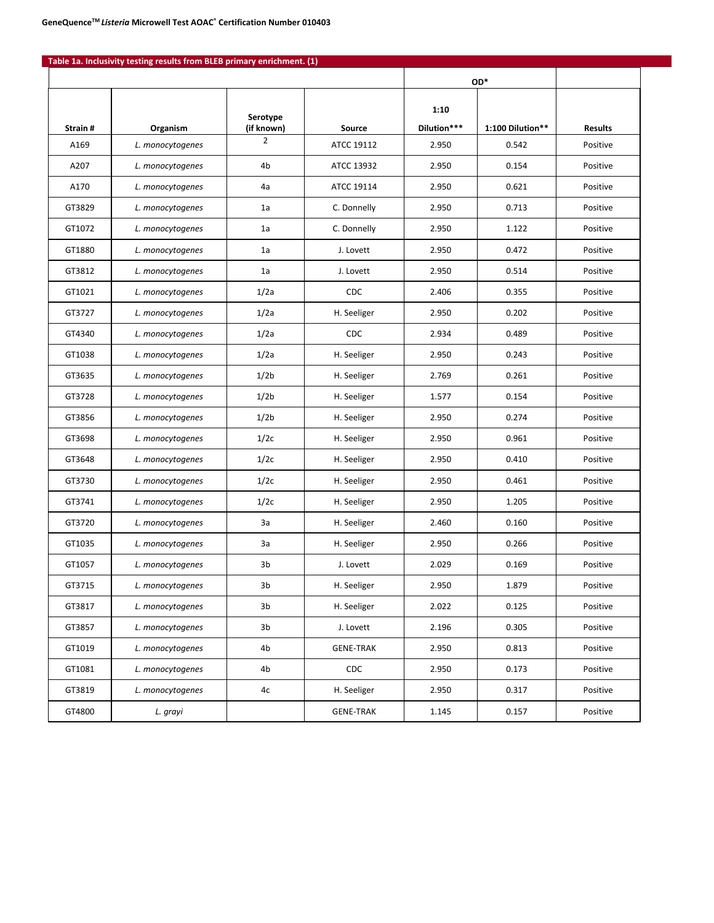|         |                  |                        |                  |                     | OD*              |                |
|---------|------------------|------------------------|------------------|---------------------|------------------|----------------|
| Strain# | Organism         | Serotype<br>(if known) | <b>Source</b>    | 1:10<br>Dilution*** | 1:100 Dilution** | <b>Results</b> |
| A169    | L. monocytogenes | 2                      | ATCC 19112       | 2.950               | 0.542            | Positive       |
| A207    | L. monocytogenes | 4b                     | ATCC 13932       | 2.950               | 0.154            | Positive       |
| A170    | L. monocytogenes | 4a                     | ATCC 19114       | 2.950               | 0.621            | Positive       |
| GT3829  | L. monocytogenes | 1a                     | C. Donnelly      | 2.950               | 0.713            | Positive       |
| GT1072  | L. monocytogenes | 1a                     | C. Donnelly      | 2.950               | 1.122            | Positive       |
| GT1880  | L. monocytogenes | 1a                     | J. Lovett        | 2.950               | 0.472            | Positive       |
| GT3812  | L. monocytogenes | 1a                     | J. Lovett        | 2.950               | 0.514            | Positive       |
| GT1021  | L. monocytogenes | 1/2a                   | CDC              | 2.406               | 0.355            | Positive       |
| GT3727  | L. monocytogenes | 1/2a                   | H. Seeliger      | 2.950               | 0.202            | Positive       |
| GT4340  | L. monocytogenes | 1/2a                   | <b>CDC</b>       | 2.934               | 0.489            | Positive       |
| GT1038  | L. monocytogenes | 1/2a                   | H. Seeliger      | 2.950               | 0.243            | Positive       |
| GT3635  | L. monocytogenes | 1/2 <sub>b</sub>       | H. Seeliger      | 2.769               | 0.261            | Positive       |
| GT3728  | L. monocytogenes | 1/2 <sub>b</sub>       | H. Seeliger      | 1.577               | 0.154            | Positive       |
| GT3856  | L. monocytogenes | 1/2 <sub>b</sub>       | H. Seeliger      | 2.950               | 0.274            | Positive       |
| GT3698  | L. monocytogenes | 1/2c                   | H. Seeliger      | 2.950               | 0.961            | Positive       |
| GT3648  | L. monocytogenes | 1/2c                   | H. Seeliger      | 2.950               | 0.410            | Positive       |
| GT3730  | L. monocytogenes | 1/2c                   | H. Seeliger      | 2.950               | 0.461            | Positive       |
| GT3741  | L. monocytogenes | 1/2c                   | H. Seeliger      | 2.950               | 1.205            | Positive       |
| GT3720  | L. monocytogenes | 3a                     | H. Seeliger      | 2.460               | 0.160            | Positive       |
| GT1035  | L. monocytogenes | 3a                     | H. Seeliger      | 2.950               | 0.266            | Positive       |
| GT1057  | L. monocytogenes | 3b                     | J. Lovett        | 2.029               | 0.169            | Positive       |
| GT3715  | L. monocytogenes | 3b                     | H. Seeliger      | 2.950               | 1.879            | Positive       |
| GT3817  | L. monocytogenes | 3b                     | H. Seeliger      | 2.022               | 0.125            | Positive       |
| GT3857  | L. monocytogenes | 3b                     | J. Lovett        | 2.196               | 0.305            | Positive       |
| GT1019  | L. monocytogenes | 4b                     | <b>GENE-TRAK</b> | 2.950               | 0.813            | Positive       |
| GT1081  | L. monocytogenes | 4b                     | CDC              | 2.950               | 0.173            | Positive       |
| GT3819  | L. monocytogenes | 4c                     | H. Seeliger      | 2.950               | 0.317            | Positive       |
| GT4800  | L. grayi         |                        | <b>GENE-TRAK</b> | 1.145               | 0.157            | Positive       |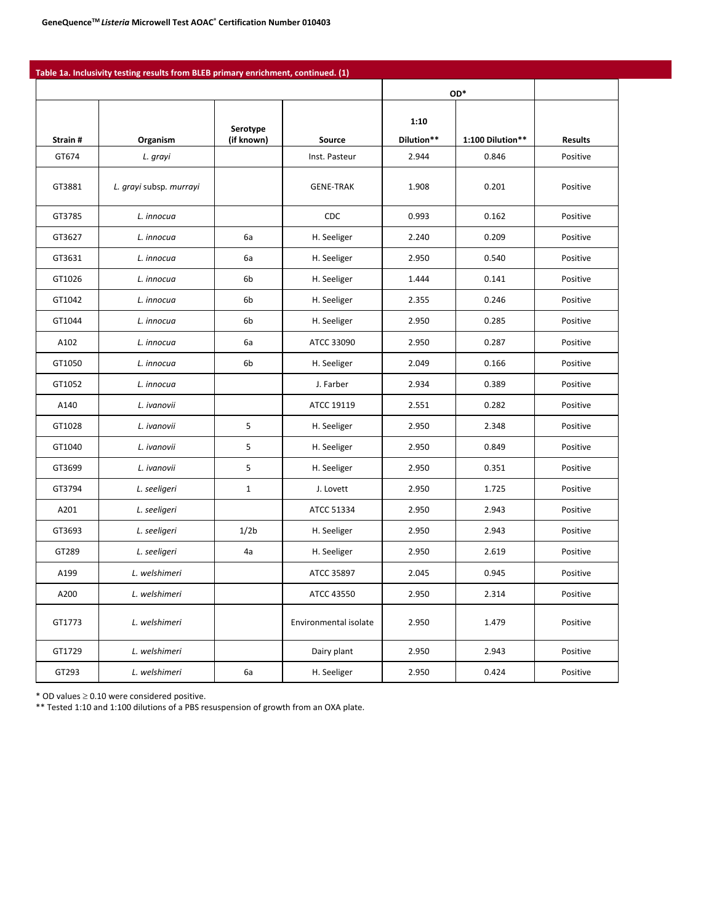|         |                         |                        |                       |                    | OD*              |                |
|---------|-------------------------|------------------------|-----------------------|--------------------|------------------|----------------|
| Strain# | Organism                | Serotype<br>(if known) | Source                | 1:10<br>Dilution** | 1:100 Dilution** | <b>Results</b> |
| GT674   | L. grayi                |                        | Inst. Pasteur         | 2.944              | 0.846            | Positive       |
| GT3881  | L. grayi subsp. murrayi |                        | <b>GENE-TRAK</b>      | 1.908              | 0.201            | Positive       |
| GT3785  | L. innocua              |                        | <b>CDC</b>            | 0.993              | 0.162            | Positive       |
| GT3627  | L. innocua              | 6a                     | H. Seeliger           | 2.240              | 0.209            | Positive       |
| GT3631  | L. innocua              | 6a                     | H. Seeliger           | 2.950              | 0.540            | Positive       |
| GT1026  | L. innocua              | 6b                     | H. Seeliger           | 1.444              | 0.141            | Positive       |
| GT1042  | L. innocua              | 6b                     | H. Seeliger           | 2.355              | 0.246            | Positive       |
| GT1044  | L. innocua              | 6b                     | H. Seeliger           | 2.950              | 0.285            | Positive       |
| A102    | L. innocua              | 6a                     | ATCC 33090            | 2.950              | 0.287            | Positive       |
| GT1050  | L. innocua              | 6b                     | H. Seeliger           | 2.049              | 0.166            | Positive       |
| GT1052  | L. innocua              |                        | J. Farber             | 2.934              | 0.389            | Positive       |
| A140    | L. ivanovii             |                        | ATCC 19119            | 2.551              | 0.282            | Positive       |
| GT1028  | L. ivanovii             | 5                      | H. Seeliger           | 2.950              | 2.348            | Positive       |
| GT1040  | L. ivanovii             | 5                      | H. Seeliger           | 2.950              | 0.849            | Positive       |
| GT3699  | L. ivanovii             | 5                      | H. Seeliger           | 2.950              | 0.351            | Positive       |
| GT3794  | L. seeligeri            | $\mathbf{1}$           | J. Lovett             | 2.950              | 1.725            | Positive       |
| A201    | L. seeligeri            |                        | ATCC 51334            | 2.950              | 2.943            | Positive       |
| GT3693  | L. seeligeri            | 1/2 <sub>b</sub>       | H. Seeliger           | 2.950              | 2.943            | Positive       |
| GT289   | L. seeligeri            | 4a                     | H. Seeliger           | 2.950              | 2.619            | Positive       |
| A199    | L. welshimeri           |                        | ATCC 35897            | 2.045              | 0.945            | Positive       |
| A200    | L. welshimeri           |                        | ATCC 43550            | 2.950              | 2.314            | Positive       |
| GT1773  | L. welshimeri           |                        | Environmental isolate | 2.950              | 1.479            | Positive       |
| GT1729  | L. welshimeri           |                        | Dairy plant           | 2.950              | 2.943            | Positive       |
| GT293   | L. welshimeri           | 6a                     | H. Seeliger           | 2.950              | 0.424            | Positive       |

\* OD values ≥ 0.10 were considered positive.

\*\* Tested 1:10 and 1:100 dilutions of a PBS resuspension of growth from an OXA plate.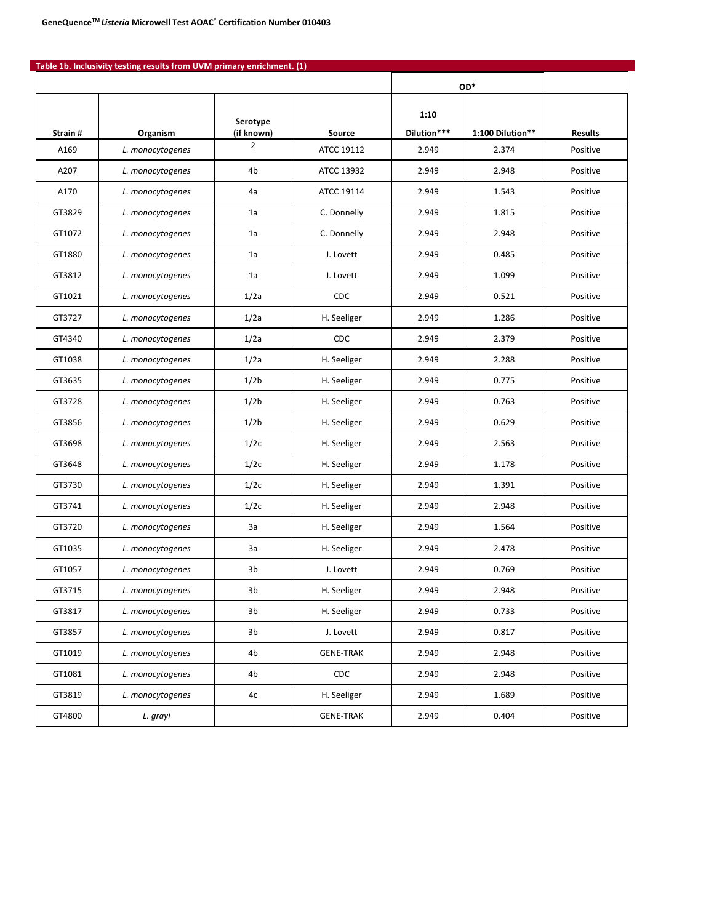|         |                  |                        |                  |                     | OD*              |                |
|---------|------------------|------------------------|------------------|---------------------|------------------|----------------|
| Strain# | Organism         | Serotype<br>(if known) | Source           | 1:10<br>Dilution*** | 1:100 Dilution** | <b>Results</b> |
| A169    | L. monocytogenes | $\overline{2}$         | ATCC 19112       | 2.949               | 2.374            | Positive       |
| A207    | L. monocytogenes | 4b                     | ATCC 13932       | 2.949               | 2.948            | Positive       |
| A170    | L. monocytogenes | 4a                     | ATCC 19114       | 2.949               | 1.543            | Positive       |
| GT3829  | L. monocytogenes | 1a                     | C. Donnelly      | 2.949               | 1.815            | Positive       |
| GT1072  | L. monocytogenes | 1a                     | C. Donnelly      | 2.949               | 2.948            | Positive       |
| GT1880  | L. monocytogenes | 1a                     | J. Lovett        | 2.949               | 0.485            | Positive       |
| GT3812  | L. monocytogenes | 1a                     | J. Lovett        | 2.949               | 1.099            | Positive       |
| GT1021  | L. monocytogenes | 1/2a                   | CDC              | 2.949               | 0.521            | Positive       |
| GT3727  | L. monocytogenes | 1/2a                   | H. Seeliger      | 2.949               | 1.286            | Positive       |
| GT4340  | L. monocytogenes | 1/2a                   | CDC              | 2.949               | 2.379            | Positive       |
| GT1038  | L. monocytogenes | 1/2a                   | H. Seeliger      | 2.949               | 2.288            | Positive       |
| GT3635  | L. monocytogenes | 1/2 <sub>b</sub>       | H. Seeliger      | 2.949               | 0.775            | Positive       |
| GT3728  | L. monocytogenes | 1/2 <sub>b</sub>       | H. Seeliger      | 2.949               | 0.763            | Positive       |
| GT3856  | L. monocytogenes | 1/2 <sub>b</sub>       | H. Seeliger      | 2.949               | 0.629            | Positive       |
| GT3698  | L. monocytogenes | 1/2c                   | H. Seeliger      | 2.949               | 2.563            | Positive       |
| GT3648  | L. monocytogenes | 1/2c                   | H. Seeliger      | 2.949               | 1.178            | Positive       |
| GT3730  | L. monocytogenes | 1/2c                   | H. Seeliger      | 2.949               | 1.391            | Positive       |
| GT3741  | L. monocytogenes | 1/2c                   | H. Seeliger      | 2.949               | 2.948            | Positive       |
| GT3720  | L. monocytogenes | За                     | H. Seeliger      | 2.949               | 1.564            | Positive       |
| GT1035  | L. monocytogenes | За                     | H. Seeliger      | 2.949               | 2.478            | Positive       |
| GT1057  | L. monocytogenes | 3b                     | J. Lovett        | 2.949               | 0.769            | Positive       |
| GT3715  | L. monocytogenes | 3b                     | H. Seeliger      | 2.949               | 2.948            | Positive       |
| GT3817  | L. monocytogenes | 3 <sub>b</sub>         | H. Seeliger      | 2.949               | 0.733            | Positive       |
| GT3857  | L. monocytogenes | 3b                     | J. Lovett        | 2.949               | 0.817            | Positive       |
| GT1019  | L. monocytogenes | 4b                     | <b>GENE-TRAK</b> | 2.949               | 2.948            | Positive       |
| GT1081  | L. monocytogenes | 4b                     | CDC              | 2.949               | 2.948            | Positive       |
| GT3819  | L. monocytogenes | 4c                     | H. Seeliger      | 2.949               | 1.689            | Positive       |
| GT4800  | L. grayi         |                        | <b>GENE-TRAK</b> | 2.949               | 0.404            | Positive       |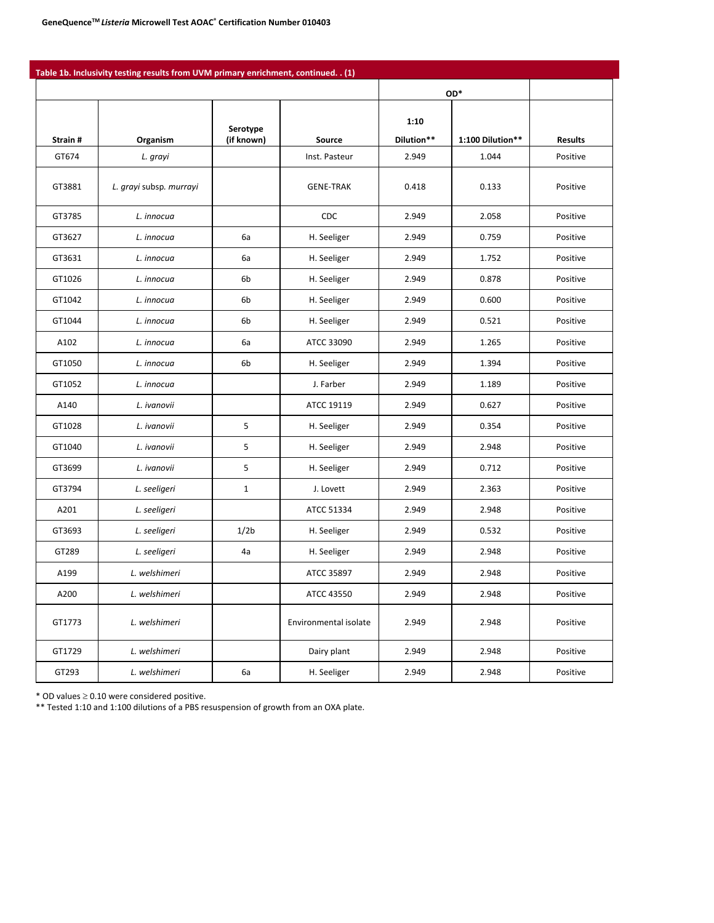|         | Table 1b. Inclusivity testing results from UVM primary enrichment, continued. . (1) |                        |                       |                    |                  |                |
|---------|-------------------------------------------------------------------------------------|------------------------|-----------------------|--------------------|------------------|----------------|
|         |                                                                                     |                        |                       |                    | OD*              |                |
| Strain# | Organism                                                                            | Serotype<br>(if known) | Source                | 1:10<br>Dilution** | 1:100 Dilution** | <b>Results</b> |
| GT674   | L. grayi                                                                            |                        | Inst. Pasteur         | 2.949              | 1.044            | Positive       |
| GT3881  | L. grayi subsp. murrayi                                                             |                        | <b>GENE-TRAK</b>      | 0.418              | 0.133            | Positive       |
| GT3785  | L. innocua                                                                          |                        | <b>CDC</b>            | 2.949              | 2.058            | Positive       |
| GT3627  | L. innocua                                                                          | 6a                     | H. Seeliger           | 2.949              | 0.759            | Positive       |
| GT3631  | L. innocua                                                                          | 6a                     | H. Seeliger           | 2.949              | 1.752            | Positive       |
| GT1026  | L. innocua                                                                          | 6b                     | H. Seeliger           | 2.949              | 0.878            | Positive       |
| GT1042  | L. innocua                                                                          | 6b                     | H. Seeliger           | 2.949              | 0.600            | Positive       |
| GT1044  | L. innocua                                                                          | 6b                     | H. Seeliger           | 2.949              | 0.521            | Positive       |
| A102    | L. innocua                                                                          | 6a                     | ATCC 33090            | 2.949              | 1.265            | Positive       |
| GT1050  | L. innocua                                                                          | 6b                     | H. Seeliger           | 2.949              | 1.394            | Positive       |
| GT1052  | L. innocua                                                                          |                        | J. Farber             | 2.949              | 1.189            | Positive       |
| A140    | L. ivanovii                                                                         |                        | ATCC 19119            | 2.949              | 0.627            | Positive       |
| GT1028  | L. ivanovii                                                                         | 5                      | H. Seeliger           | 2.949              | 0.354            | Positive       |
| GT1040  | L. ivanovii                                                                         | 5                      | H. Seeliger           | 2.949              | 2.948            | Positive       |
| GT3699  | L. ivanovii                                                                         | 5                      | H. Seeliger           | 2.949              | 0.712            | Positive       |
| GT3794  | L. seeligeri                                                                        | $\mathbf{1}$           | J. Lovett             | 2.949              | 2.363            | Positive       |
| A201    | L. seeligeri                                                                        |                        | ATCC 51334            | 2.949              | 2.948            | Positive       |
| GT3693  | L. seeligeri                                                                        | 1/2 <sub>b</sub>       | H. Seeliger           | 2.949              | 0.532            | Positive       |
| GT289   | L. seeligeri                                                                        | 4a                     | H. Seeliger           | 2.949              | 2.948            | Positive       |
| A199    | L. welshimeri                                                                       |                        | ATCC 35897            | 2.949              | 2.948            | Positive       |
| A200    | L. welshimeri                                                                       |                        | ATCC 43550            | 2.949              | 2.948            | Positive       |
| GT1773  | L. welshimeri                                                                       |                        | Environmental isolate | 2.949              | 2.948            | Positive       |
| GT1729  | L. welshimeri                                                                       |                        | Dairy plant           | 2.949              | 2.948            | Positive       |
| GT293   | L. welshimeri                                                                       | 6a                     | H. Seeliger           | 2.949              | 2.948            | Positive       |

\* OD values ≥ 0.10 were considered positive.

\*\* Tested 1:10 and 1:100 dilutions of a PBS resuspension of growth from an OXA plate.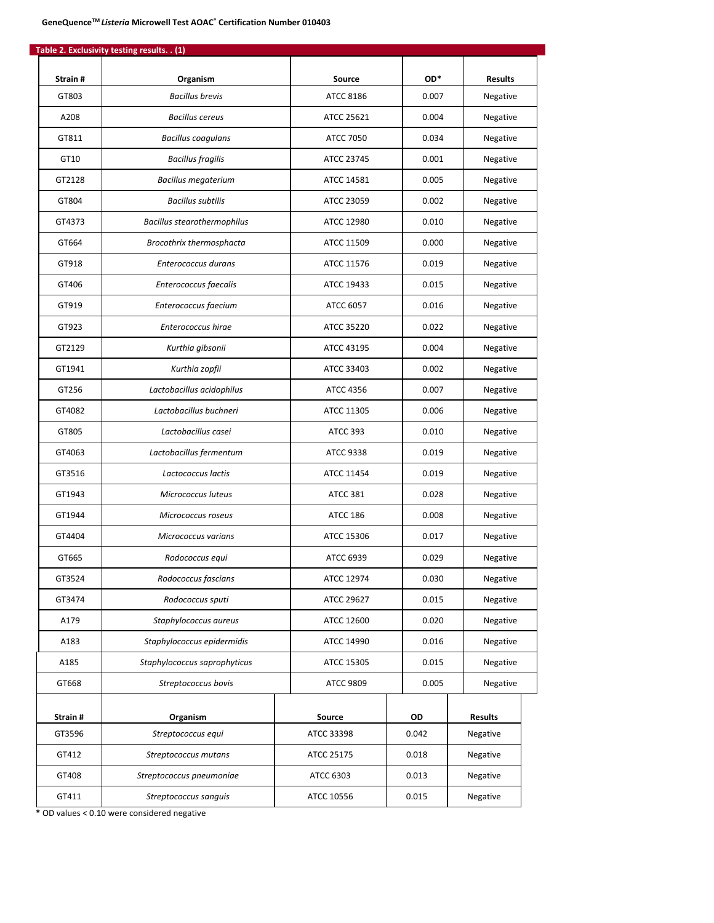| Strain# | Organism                           | Source           | OD*   | <b>Results</b> |  |
|---------|------------------------------------|------------------|-------|----------------|--|
| GT803   | <b>Bacillus brevis</b>             | ATCC 8186        | 0.007 | Negative       |  |
| A208    | <b>Bacillus cereus</b>             | ATCC 25621       | 0.004 | Negative       |  |
| GT811   | <b>Bacillus coagulans</b>          | <b>ATCC 7050</b> | 0.034 | Negative       |  |
|         |                                    |                  | 0.001 |                |  |
| GT10    | <b>Bacillus fragilis</b>           | ATCC 23745       |       | Negative       |  |
| GT2128  | <b>Bacillus megaterium</b>         | ATCC 14581       | 0.005 | Negative       |  |
| GT804   | <b>Bacillus subtilis</b>           | ATCC 23059       | 0.002 | Negative       |  |
| GT4373  | <b>Bacillus stearothermophilus</b> | ATCC 12980       | 0.010 | Negative       |  |
| GT664   | Brocothrix thermosphacta           | ATCC 11509       | 0.000 | Negative       |  |
| GT918   | Enterococcus durans                | ATCC 11576       | 0.019 | Negative       |  |
| GT406   | Enterococcus faecalis              | ATCC 19433       | 0.015 | Negative       |  |
| GT919   | Enterococcus faecium               | ATCC 6057        | 0.016 | Negative       |  |
| GT923   | Enterococcus hirae                 | ATCC 35220       | 0.022 | Negative       |  |
| GT2129  | Kurthia gibsonii                   | ATCC 43195       | 0.004 | Negative       |  |
| GT1941  | Kurthia zopfii                     | ATCC 33403       | 0.002 | Negative       |  |
| GT256   | Lactobacillus acidophilus          | <b>ATCC 4356</b> | 0.007 | Negative       |  |
| GT4082  | Lactobacillus buchneri             | ATCC 11305       | 0.006 | Negative       |  |
| GT805   | Lactobacillus casei                | ATCC 393         | 0.010 | Negative       |  |
| GT4063  | Lactobacillus fermentum            | ATCC 9338        | 0.019 | Negative       |  |
| GT3516  | Lactococcus lactis                 | ATCC 11454       | 0.019 | Negative       |  |
| GT1943  | Micrococcus luteus                 | <b>ATCC 381</b>  | 0.028 | Negative       |  |
| GT1944  | Micrococcus roseus                 | <b>ATCC 186</b>  | 0.008 | Negative       |  |
| GT4404  | Micrococcus varians                | ATCC 15306       | 0.017 | Negative       |  |
| GT665   | Rodococcus equi                    | ATCC 6939        | 0.029 | Negative       |  |
| GT3524  | Rodococcus fascians                | ATCC 12974       | 0.030 | Negative       |  |
| GT3474  | Rodococcus sputi                   | ATCC 29627       | 0.015 | Negative       |  |
| A179    | Staphylococcus aureus              | ATCC 12600       | 0.020 | Negative       |  |
| A183    | Staphylococcus epidermidis         | ATCC 14990       | 0.016 | Negative       |  |
| A185    | Staphylococcus saprophyticus       | ATCC 15305       | 0.015 | Negative       |  |
| GT668   | Streptococcus bovis                | ATCC 9809        | 0.005 | Negative       |  |
|         |                                    |                  |       |                |  |
| Strain# | Organism                           | Source           | OD    | <b>Results</b> |  |
| GT3596  | Streptococcus equi                 | ATCC 33398       | 0.042 | Negative       |  |
| GT412   | Streptococcus mutans               | ATCC 25175       | 0.018 | Negative       |  |
| GT408   | Streptococcus pneumoniae           | ATCC 6303        | 0.013 | Negative       |  |
| GT411   | Streptococcus sanguis              | ATCC 10556       | 0.015 | Negative       |  |

**\*** OD values < 0.10 were considered negative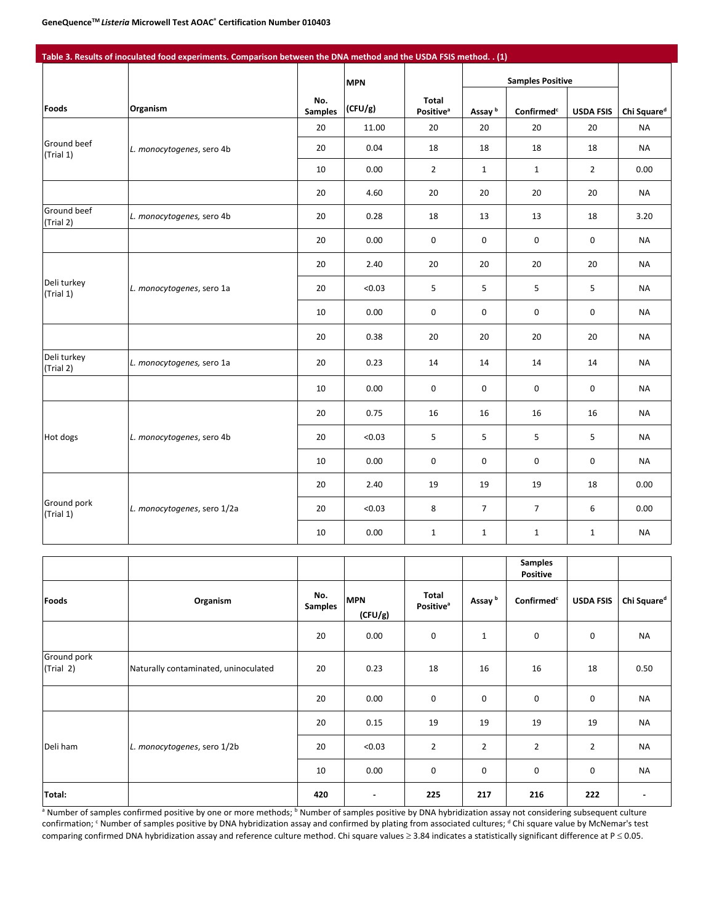|                          |                             |                       | <b>MPN</b> |                                              |                    | <b>Samples Positive</b> |                  |                         |
|--------------------------|-----------------------------|-----------------------|------------|----------------------------------------------|--------------------|-------------------------|------------------|-------------------------|
| Foods                    | Organism                    | No.<br><b>Samples</b> | (CFU/g)    | <b>Total</b><br><b>Positive</b> <sup>a</sup> | Assay <sup>b</sup> | Confirmed <sup>c</sup>  | <b>USDA FSIS</b> | Chi Square <sup>d</sup> |
|                          |                             | 20                    | 11.00      | 20                                           | 20                 | 20                      | 20               | <b>NA</b>               |
| Ground beef<br>(Trial 1) | L. monocytogenes, sero 4b   | 20                    | 0.04       | 18                                           | 18                 | 18                      | 18               | <b>NA</b>               |
|                          |                             | 10                    | 0.00       | $\overline{2}$                               | $\mathbf{1}$       | $\mathbf{1}$            | $\overline{2}$   | 0.00                    |
|                          |                             | 20                    | 4.60       | 20                                           | 20                 | 20                      | 20               | <b>NA</b>               |
| Ground beef<br>(Trial 2) | L. monocytogenes, sero 4b   | 20                    | 0.28       | 18                                           | 13                 | 13                      | 18               | 3.20                    |
|                          |                             | 20                    | 0.00       | 0                                            | $\pmb{0}$          | 0                       | 0                | <b>NA</b>               |
|                          |                             | 20                    | 2.40       | 20                                           | 20                 | 20                      | 20               | <b>NA</b>               |
| Deli turkey<br>(Trial 1) | L. monocytogenes, sero 1a   | 20                    | < 0.03     | 5                                            | 5                  | 5                       | 5                | <b>NA</b>               |
|                          |                             | 10                    | 0.00       | 0                                            | 0                  | $\mathbf 0$             | 0                | <b>NA</b>               |
|                          |                             | 20                    | 0.38       | 20                                           | 20                 | 20                      | 20               | <b>NA</b>               |
| Deli turkey<br>(Trial 2) | L. monocytogenes, sero 1a   | 20                    | 0.23       | 14                                           | 14                 | 14                      | 14               | <b>NA</b>               |
|                          |                             | 10                    | 0.00       | $\mathbf 0$                                  | $\pmb{0}$          | 0                       | 0                | <b>NA</b>               |
|                          |                             | 20                    | 0.75       | 16                                           | 16                 | 16                      | 16               | <b>NA</b>               |
| Hot dogs                 | L. monocytogenes, sero 4b   | 20                    | < 0.03     | 5                                            | 5                  | 5                       | 5                | <b>NA</b>               |
|                          |                             | 10                    | 0.00       | $\mathbf 0$                                  | $\pmb{0}$          | 0                       | 0                | <b>NA</b>               |
|                          |                             | 20                    | 2.40       | 19                                           | 19                 | 19                      | 18               | 0.00                    |
| Ground pork<br>(Trial 1) | L. monocytogenes, sero 1/2a | 20                    | < 0.03     | 8                                            | $\overline{7}$     | $\overline{7}$          | 6                | 0.00                    |
|                          |                             | 10                    | 0.00       | $\mathbf{1}$                                 | $\mathbf 1$        | $\mathbf{1}$            | $\mathbf{1}$     | <b>NA</b>               |

|                          |                                      |                       |                       |                                       |                    | <b>Samples</b><br><b>Positive</b> |                  |                          |
|--------------------------|--------------------------------------|-----------------------|-----------------------|---------------------------------------|--------------------|-----------------------------------|------------------|--------------------------|
| <b>Foods</b>             | Organism                             | No.<br><b>Samples</b> | <b>MPN</b><br>(CFU/g) | Total<br><b>Positive</b> <sup>a</sup> | Assay <sup>b</sup> | Confirmed <sup>c</sup>            | <b>USDA FSIS</b> | Chi Square <sup>d</sup>  |
|                          |                                      | 20                    | 0.00                  | $\pmb{0}$                             | $\mathbf{1}$       | 0                                 | 0                | <b>NA</b>                |
| Ground pork<br>(Trial 2) | Naturally contaminated, uninoculated | 20                    | 0.23                  | 18                                    | 16                 | 16                                | 18               | 0.50                     |
|                          |                                      | 20                    | 0.00                  | 0                                     | 0                  | $\mathsf 0$                       | 0                | <b>NA</b>                |
|                          |                                      | 20                    | 0.15                  | 19                                    | 19                 | 19                                | 19               | <b>NA</b>                |
| Deli ham                 | L. monocytogenes, sero 1/2b          | 20                    | < 0.03                | $\overline{2}$                        | $\overline{2}$     | $\overline{2}$                    | $\overline{2}$   | <b>NA</b>                |
|                          |                                      | 10                    | 0.00                  | 0                                     | 0                  | 0                                 | 0                | <b>NA</b>                |
| Total:                   |                                      | 420                   | $\blacksquare$        | 225                                   | 217                | 216                               | 222              | $\overline{\phantom{a}}$ |

a Number of samples confirmed positive by one or more methods; <sup>b</sup> Number of samples positive by DNA hybridization assay not considering subsequent culture confirmation; <sup>c</sup> Number of samples positive by DNA hybridization assay and confirmed by plating from associated cultures; <sup>d</sup> Chi square value by McNemar's test comparing confirmed DNA hybridization assay and reference culture method. Chi square values ≥ 3.84 indicates a statistically significant difference at P ≤ 0.05.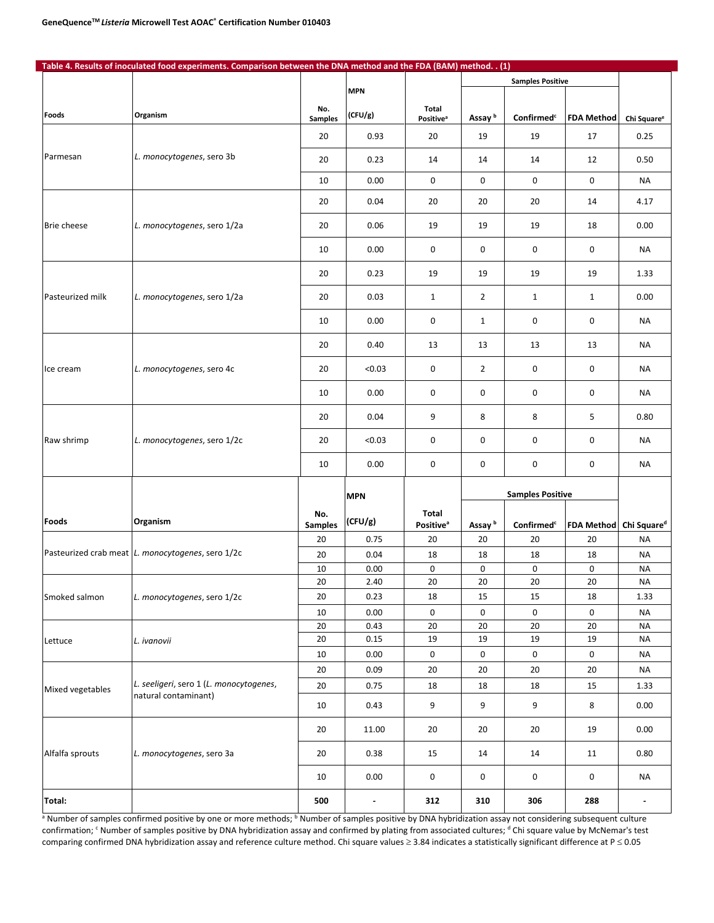|                    | Table 4. Results of inoculated food experiments. Comparison between the DNA method and the FDA (BAM) method. . (1) |                       |                |                                      |                    |                                 |                   |                         |
|--------------------|--------------------------------------------------------------------------------------------------------------------|-----------------------|----------------|--------------------------------------|--------------------|---------------------------------|-------------------|-------------------------|
|                    |                                                                                                                    |                       |                |                                      |                    | <b>Samples Positive</b>         |                   |                         |
|                    |                                                                                                                    |                       | <b>MPN</b>     |                                      |                    |                                 |                   |                         |
| Foods              | Organism                                                                                                           | No.<br><b>Samples</b> | (CFU/g)        | Total<br><b>Positive<sup>a</sup></b> | Assay <sup>b</sup> | $\mathsf{Confirmed}^\mathsf{c}$ | <b>FDA Method</b> | Chi Square <sup>e</sup> |
|                    |                                                                                                                    | 20                    | 0.93           | 20                                   | 19                 | 19                              | 17                | 0.25                    |
| Parmesan           | L. monocytogenes, sero 3b                                                                                          | 20                    | 0.23           | 14                                   | 14                 | 14                              | 12                | 0.50                    |
|                    |                                                                                                                    | 10                    | 0.00           | $\mathsf{O}\xspace$                  | 0                  | 0                               | 0                 | <b>NA</b>               |
|                    |                                                                                                                    | 20                    | 0.04           | 20                                   | 20                 | 20                              | 14                | 4.17                    |
| <b>Brie cheese</b> | L. monocytogenes, sero 1/2a                                                                                        | 20                    | 0.06           | 19                                   | 19                 | 19                              | 18                | 0.00                    |
|                    |                                                                                                                    | 10                    | 0.00           | 0                                    | 0                  | $\mathbf 0$                     | 0                 | <b>NA</b>               |
|                    |                                                                                                                    | 20                    | 0.23           | 19                                   | 19                 | 19                              | 19                | 1.33                    |
| Pasteurized milk   | L. monocytogenes, sero 1/2a                                                                                        | 20                    | 0.03           | $\mathbf{1}$                         | $\overline{2}$     | $\mathbf{1}$                    | $\mathbf{1}$      | 0.00                    |
|                    |                                                                                                                    | 10                    | 0.00           | 0                                    | $\mathbf{1}$       | 0                               | 0                 | <b>NA</b>               |
|                    |                                                                                                                    | 20                    | 0.40           | 13                                   | 13                 | 13                              | 13                | <b>NA</b>               |
| Ice cream          | L. monocytogenes, sero 4c                                                                                          | 20                    | < 0.03         | 0                                    | $\overline{2}$     | 0                               | 0                 | <b>NA</b>               |
|                    |                                                                                                                    | 10                    | 0.00           | 0                                    | 0                  | 0                               | 0                 | <b>NA</b>               |
|                    |                                                                                                                    | 20                    | 0.04           | 9                                    | 8                  | 8                               | 5                 | 0.80                    |
| Raw shrimp         | L. monocytogenes, sero 1/2c                                                                                        | 20                    | < 0.03         | 0                                    | 0                  | 0                               | 0                 | <b>NA</b>               |
|                    |                                                                                                                    | 10                    | 0.00           | $\mathsf{O}\xspace$                  | 0                  | 0                               | 0                 | <b>NA</b>               |
|                    |                                                                                                                    |                       | <b>MPN</b>     |                                      |                    | <b>Samples Positive</b>         |                   |                         |
|                    |                                                                                                                    | No.                   |                | Total                                |                    |                                 |                   |                         |
| Foods              | Organism                                                                                                           | <b>Samples</b>        | (CFU/g)        | <b>Positive</b> <sup>a</sup>         | Assay <sup>b</sup> | Confirmed <sup>c</sup>          | <b>FDA Method</b> | Chi Square <sup>d</sup> |
|                    |                                                                                                                    | 20                    | 0.75           | 20                                   | 20                 | 20                              | 20                | <b>NA</b>               |
|                    | Pasteurized crab meat L. monocytogenes, sero 1/2c                                                                  | 20                    | 0.04           | 18                                   | 18                 | 18                              | 18                | <b>NA</b>               |
|                    |                                                                                                                    | 10                    | 0.00           | 0                                    | 0                  | 0                               | 0                 | <b>NA</b>               |
|                    |                                                                                                                    | $20\,$                | 2.40           | $20\,$                               | $20\,$             | $20\,$                          | $20\,$            | $\sf NA$                |
| Smoked salmon      | L. monocytogenes, sero 1/2c                                                                                        | 20                    | 0.23           | 18                                   | 15                 | 15                              | 18                | 1.33                    |
|                    |                                                                                                                    | 10                    | 0.00           | $\mathsf{O}$                         | $\mathsf 0$        | $\mathsf 0$                     | 0                 | <b>NA</b>               |
|                    |                                                                                                                    | 20                    | 0.43           | 20                                   | 20                 | 20                              | 20                | <b>NA</b>               |
| Lettuce            | L. ivanovii                                                                                                        | 20                    | 0.15           | 19                                   | 19                 | 19                              | 19                | <b>NA</b>               |
|                    |                                                                                                                    | 10                    | 0.00           | $\mathsf{O}$                         | 0                  | $\mathsf{O}\xspace$             | 0                 | <b>NA</b>               |
|                    |                                                                                                                    | 20                    | 0.09           | 20                                   | 20                 | 20                              | 20                | <b>NA</b>               |
| Mixed vegetables   | L. seeligeri, sero 1 (L. monocytogenes,                                                                            | 20                    | 0.75           | 18                                   | 18                 | 18                              | 15                | 1.33                    |
|                    | natural contaminant)                                                                                               | 10                    | 0.43           | 9                                    | 9                  | 9                               | 8                 | 0.00                    |
|                    |                                                                                                                    | 20                    | 11.00          | 20                                   | 20                 | 20                              | 19                | 0.00                    |
| Alfalfa sprouts    | L. monocytogenes, sero 3a                                                                                          | 20                    | 0.38           | 15                                   | 14                 | 14                              | 11                | 0.80                    |
|                    |                                                                                                                    | 10                    | 0.00           | $\mathsf{O}\xspace$                  | 0                  | $\mathsf 0$                     | 0                 | <b>NA</b>               |
| Total:             |                                                                                                                    | 500                   | $\blacksquare$ | 312                                  | 310                | 306                             | 288               | $\blacksquare$          |

<sup>a</sup> Number of samples confirmed positive by one or more methods; <sup>b</sup> Number of samples positive by DNA hybridization assay not considering subsequent culture confirmation; <sup>c</sup> Number of samples positive by DNA hybridization assay and confirmed by plating from associated cultures; <sup>d</sup> Chi square value by McNemar's test comparing confirmed DNA hybridization assay and reference culture method. Chi square values ≥ 3.84 indicates a statistically significant difference at P ≤ 0.05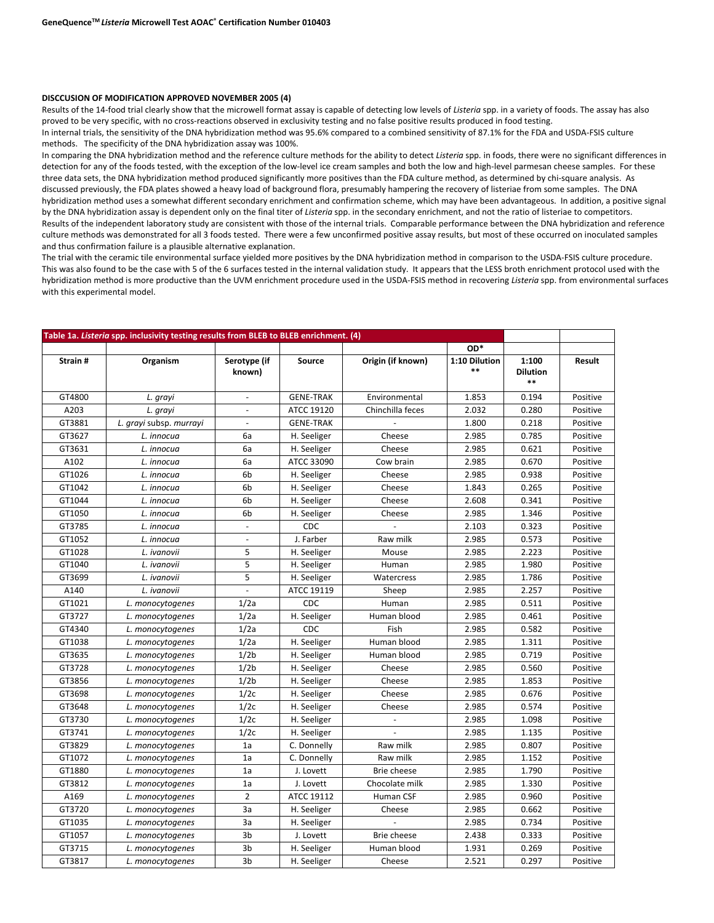#### **DISCCUSION OF MODIFICATION APPROVED NOVEMBER 2005 (4)**

Results of the 14-food trial clearly show that the microwell format assay is capable of detecting low levels of *Listeria* spp. in a variety of foods. The assay has also proved to be very specific, with no cross-reactions observed in exclusivity testing and no false positive results produced in food testing.

In internal trials, the sensitivity of the DNA hybridization method was 95.6% compared to a combined sensitivity of 87.1% for the FDA and USDA-FSIS culture methods. The specificity of the DNA hybridization assay was 100%.

In comparing the DNA hybridization method and the reference culture methods for the ability to detect *Listeria* spp*.* in foods, there were no significant differences in detection for any of the foods tested, with the exception of the low-level ice cream samples and both the low and high-level parmesan cheese samples. For these three data sets, the DNA hybridization method produced significantly more positives than the FDA culture method, as determined by chi-square analysis. As discussed previously, the FDA plates showed a heavy load of background flora, presumably hampering the recovery of listeriae from some samples. The DNA hybridization method uses a somewhat different secondary enrichment and confirmation scheme, which may have been advantageous. In addition, a positive signal by the DNA hybridization assay is dependent only on the final titer of *Listeria* spp. in the secondary enrichment, and not the ratio of listeriae to competitors. Results of the independent laboratory study are consistent with those of the internal trials. Comparable performance between the DNA hybridization and reference culture methods was demonstrated for all 3 foods tested. There were a few unconfirmed positive assay results, but most of these occurred on inoculated samples and thus confirmation failure is a plausible alternative explanation.

The trial with the ceramic tile environmental surface yielded more positives by the DNA hybridization method in comparison to the USDA-FSIS culture procedure. This was also found to be the case with 5 of the 6 surfaces tested in the internal validation study. It appears that the LESS broth enrichment protocol used with the hybridization method is more productive than the UVM enrichment procedure used in the USDA-FSIS method in recovering *Listeria* spp. from environmental surfaces with this experimental model.

| Table 1a. Listeria spp. inclusivity testing results from BLEB to BLEB enrichment. (4) |                         |                          |                  |                    |               |                 |          |
|---------------------------------------------------------------------------------------|-------------------------|--------------------------|------------------|--------------------|---------------|-----------------|----------|
|                                                                                       |                         |                          |                  |                    | OD*           |                 |          |
| Strain#                                                                               | Organism                | Serotype (if             | Source           | Origin (if known)  | 1:10 Dilution | 1:100           | Result   |
|                                                                                       |                         | known)                   |                  |                    | $***$         | <b>Dilution</b> |          |
|                                                                                       |                         |                          |                  |                    |               | $***$           |          |
| GT4800                                                                                | L. grayi                | $\overline{\phantom{a}}$ | <b>GENE-TRAK</b> | Environmental      | 1.853         | 0.194           | Positive |
| A203                                                                                  | L. grayi                | $\overline{\phantom{a}}$ | ATCC 19120       | Chinchilla feces   | 2.032         | 0.280           | Positive |
| GT3881                                                                                | L. grayi subsp. murrayi | $\overline{\phantom{a}}$ | <b>GENE-TRAK</b> |                    | 1.800         | 0.218           | Positive |
| GT3627                                                                                | L. innocua              | 6a                       | H. Seeliger      | Cheese             | 2.985         | 0.785           | Positive |
| GT3631                                                                                | L. innocua              | 6a                       | H. Seeliger      | Cheese             | 2.985         | 0.621           | Positive |
| A102                                                                                  | L. innocua              | 6a                       | ATCC 33090       | Cow brain          | 2.985         | 0.670           | Positive |
| GT1026                                                                                | L. innocua              | 6b                       | H. Seeliger      | Cheese             | 2.985         | 0.938           | Positive |
| GT1042                                                                                | L. innocua              | 6 <sub>b</sub>           | H. Seeliger      | Cheese             | 1.843         | 0.265           | Positive |
| GT1044                                                                                | L. innocua              | 6b                       | H. Seeliger      | Cheese             | 2.608         | 0.341           | Positive |
| GT1050                                                                                | L. innocua              | 6b                       | H. Seeliger      | Cheese             | 2.985         | 1.346           | Positive |
| GT3785                                                                                | L. innocua              | $\blacksquare$           | CDC              |                    | 2.103         | 0.323           | Positive |
| GT1052                                                                                | L. innocua              |                          | J. Farber        | Raw milk           | 2.985         | 0.573           | Positive |
| GT1028                                                                                | L. ivanovii             | 5                        | H. Seeliger      | Mouse              | 2.985         | 2.223           | Positive |
| GT1040                                                                                | L. ivanovii             | 5                        | H. Seeliger      | Human              | 2.985         | 1.980           | Positive |
| GT3699                                                                                | L. ivanovii             | 5                        | H. Seeliger      | Watercress         | 2.985         | 1.786           | Positive |
| A140                                                                                  | L. ivanovii             | $\overline{\phantom{a}}$ | ATCC 19119       | Sheep              | 2.985         | 2.257           | Positive |
| GT1021                                                                                | L. monocytogenes        | 1/2a                     | CDC              | Human              | 2.985         | 0.511           | Positive |
| GT3727                                                                                | L. monocytogenes        | 1/2a                     | H. Seeliger      | Human blood        | 2.985         | 0.461           | Positive |
| GT4340                                                                                | L. monocytogenes        | 1/2a                     | CDC              | Fish               | 2.985         | 0.582           | Positive |
| GT1038                                                                                | L. monocytogenes        | 1/2a                     | H. Seeliger      | Human blood        | 2.985         | 1.311           | Positive |
| GT3635                                                                                | L. monocytogenes        | 1/2 <sub>b</sub>         | H. Seeliger      | Human blood        | 2.985         | 0.719           | Positive |
| GT3728                                                                                | L. monocytogenes        | 1/2 <sub>b</sub>         | H. Seeliger      | Cheese             | 2.985         | 0.560           | Positive |
| GT3856                                                                                | L. monocytogenes        | 1/2 <sub>b</sub>         | H. Seeliger      | Cheese             | 2.985         | 1.853           | Positive |
| GT3698                                                                                | L. monocytogenes        | 1/2c                     | H. Seeliger      | Cheese             | 2.985         | 0.676           | Positive |
| GT3648                                                                                | L. monocytogenes        | 1/2c                     | H. Seeliger      | Cheese             | 2.985         | 0.574           | Positive |
| GT3730                                                                                | L. monocytogenes        | 1/2c                     | H. Seeliger      |                    | 2.985         | 1.098           | Positive |
| GT3741                                                                                | L. monocytogenes        | 1/2c                     | H. Seeliger      |                    | 2.985         | 1.135           | Positive |
| GT3829                                                                                | L. monocytogenes        | 1a                       | C. Donnelly      | Raw milk           | 2.985         | 0.807           | Positive |
| GT1072                                                                                | L. monocytogenes        | 1a                       | C. Donnelly      | Raw milk           | 2.985         | 1.152           | Positive |
| GT1880                                                                                | L. monocytogenes        | 1a                       | J. Lovett        | Brie cheese        | 2.985         | 1.790           | Positive |
| GT3812                                                                                | L. monocytogenes        | 1a                       | J. Lovett        | Chocolate milk     | 2.985         | 1.330           | Positive |
| A169                                                                                  | L. monocytogenes        | $\overline{2}$           | ATCC 19112       | Human CSF          | 2.985         | 0.960           | Positive |
| GT3720                                                                                | L. monocytogenes        | 3a                       | H. Seeliger      | Cheese             | 2.985         | 0.662           | Positive |
| GT1035                                                                                | L. monocytogenes        | 3a                       | H. Seeliger      |                    | 2.985         | 0.734           | Positive |
| GT1057                                                                                | L. monocytogenes        | 3b                       | J. Lovett        | <b>Brie cheese</b> | 2.438         | 0.333           | Positive |
| GT3715                                                                                | L. monocytogenes        | 3b                       | H. Seeliger      | Human blood        | 1.931         | 0.269           | Positive |
| GT3817                                                                                | L. monocytogenes        | 3b                       | H. Seeliger      | Cheese             | 2.521         | 0.297           | Positive |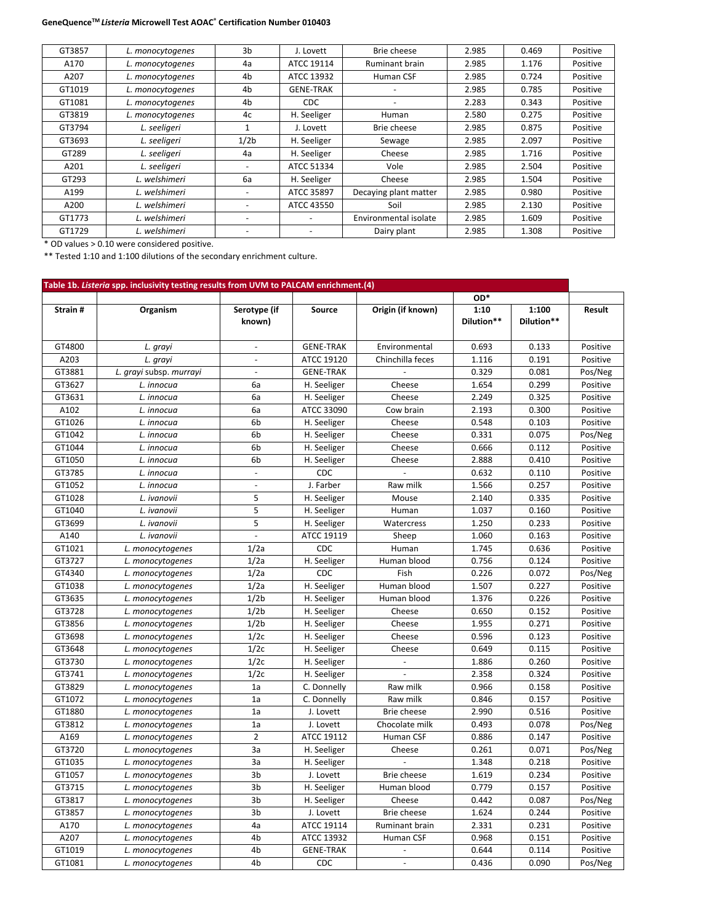| GT3857 | L. monocytogenes | 3b                       | J. Lovett                | Brie cheese           | 2.985 | 0.469 | Positive |
|--------|------------------|--------------------------|--------------------------|-----------------------|-------|-------|----------|
| A170   | L. monocytogenes | 4a                       | ATCC 19114               | <b>Ruminant brain</b> | 2.985 | 1.176 | Positive |
| A207   | L. monocytogenes | 4b                       | ATCC 13932               | Human CSF             | 2.985 | 0.724 | Positive |
| GT1019 | L. monocytogenes | 4 <sub>b</sub>           | <b>GENE-TRAK</b>         |                       | 2.985 | 0.785 | Positive |
| GT1081 | L. monocytogenes | 4b                       | CDC.                     |                       | 2.283 | 0.343 | Positive |
| GT3819 | L. monocytogenes | 4c                       | H. Seeliger              | Human                 | 2.580 | 0.275 | Positive |
| GT3794 | L. seeligeri     | 1                        | J. Lovett                | Brie cheese           | 2.985 | 0.875 | Positive |
| GT3693 | L. seeligeri     | 1/2 <sub>b</sub>         | H. Seeliger              | Sewage                | 2.985 | 2.097 | Positive |
| GT289  | L. seeligeri     | 4a                       | H. Seeliger              | Cheese                | 2.985 | 1.716 | Positive |
| A201   | L. seeligeri     |                          | ATCC 51334               | Vole                  | 2.985 | 2.504 | Positive |
| GT293  | L. welshimeri    | 6a                       | H. Seeliger              | Cheese                | 2.985 | 1.504 | Positive |
| A199   | L. welshimeri    |                          | ATCC 35897               | Decaying plant matter | 2.985 | 0.980 | Positive |
| A200   | L. welshimeri    | $\overline{\phantom{a}}$ | ATCC 43550               | Soil                  | 2.985 | 2.130 | Positive |
| GT1773 | L. welshimeri    | $\overline{\phantom{0}}$ | $\sim$                   | Environmental isolate | 2.985 | 1.609 | Positive |
| GT1729 | L. welshimeri    | $\overline{\phantom{0}}$ | $\overline{\phantom{a}}$ | Dairy plant           | 2.985 | 1.308 | Positive |

\* OD values > 0.10 were considered positive.

\*\* Tested 1:10 and 1:100 dilutions of the secondary enrichment culture.

| Table 1b. Listeria spp. inclusivity testing results from UVM to PALCAM enrichment.(4) |                         |                          |                  |                       |                    |                     |          |  |  |  |
|---------------------------------------------------------------------------------------|-------------------------|--------------------------|------------------|-----------------------|--------------------|---------------------|----------|--|--|--|
|                                                                                       |                         |                          |                  |                       | OD*                |                     |          |  |  |  |
| Strain#                                                                               | Organism                | Serotype (if<br>known)   | Source           | Origin (if known)     | 1:10<br>Dilution** | 1:100<br>Dilution** | Result   |  |  |  |
| GT4800                                                                                | L. grayi                |                          | <b>GENE-TRAK</b> | Environmental         | 0.693              | 0.133               | Positive |  |  |  |
| A203                                                                                  | L. grayi                | $\overline{a}$           | ATCC 19120       | Chinchilla feces      | 1.116              | 0.191               | Positive |  |  |  |
| GT3881                                                                                | L. grayi subsp. murrayi | $\Box$                   | <b>GENE-TRAK</b> |                       | 0.329              | 0.081               | Pos/Neg  |  |  |  |
| GT3627                                                                                | L. innocua              | 6a                       | H. Seeliger      | Cheese                | 1.654              | 0.299               | Positive |  |  |  |
| GT3631                                                                                | L. innocua              | 6a                       | H. Seeliger      | Cheese                | 2.249              | 0.325               | Positive |  |  |  |
| A102                                                                                  | L. innocua              | 6a                       | ATCC 33090       | Cow brain             | 2.193              | 0.300               | Positive |  |  |  |
| GT1026                                                                                | L. innocua              | 6b                       | H. Seeliger      | Cheese                | 0.548              | 0.103               | Positive |  |  |  |
| GT1042                                                                                | L. innocua              | 6 <sub>b</sub>           | H. Seeliger      | Cheese                | 0.331              | 0.075               | Pos/Neg  |  |  |  |
| GT1044                                                                                | L. innocua              | 6b                       | H. Seeliger      | Cheese                | 0.666              | 0.112               | Positive |  |  |  |
| GT1050                                                                                | L. innocua              | 6b                       | H. Seeliger      | Cheese                | 2.888              | 0.410               | Positive |  |  |  |
| GT3785                                                                                | L. innocua              | $\overline{\phantom{a}}$ | CDC              |                       | 0.632              | 0.110               | Positive |  |  |  |
| GT1052                                                                                | L. innocua              | $\sim$                   | J. Farber        | Raw milk              | 1.566              | 0.257               | Positive |  |  |  |
| GT1028                                                                                | L. ivanovii             | 5                        | H. Seeliger      | Mouse                 | 2.140              | 0.335               | Positive |  |  |  |
| GT1040                                                                                | L. ivanovii             | 5                        | H. Seeliger      | Human                 | 1.037              | 0.160               | Positive |  |  |  |
| GT3699                                                                                | L. ivanovii             | 5                        | H. Seeliger      | Watercress            | 1.250              | 0.233               | Positive |  |  |  |
| A140                                                                                  | L. ivanovii             |                          | ATCC 19119       | Sheep                 | 1.060              | 0.163               | Positive |  |  |  |
| GT1021                                                                                | L. monocytogenes        | 1/2a                     | CDC              | Human                 | 1.745              | 0.636               | Positive |  |  |  |
| GT3727                                                                                | L. monocytogenes        | 1/2a                     | H. Seeliger      | Human blood           | 0.756              | 0.124               | Positive |  |  |  |
| GT4340                                                                                | L. monocytogenes        | 1/2a                     | CDC              | Fish                  | 0.226              | 0.072               | Pos/Neg  |  |  |  |
| GT1038                                                                                | L. monocytogenes        | 1/2a                     | H. Seeliger      | Human blood           | 1.507              | 0.227               | Positive |  |  |  |
| GT3635                                                                                | L. monocytogenes        | 1/2 <sub>b</sub>         | H. Seeliger      | Human blood           | 1.376              | 0.226               | Positive |  |  |  |
| GT3728                                                                                | L. monocytogenes        | 1/2 <sub>b</sub>         | H. Seeliger      | Cheese                | 0.650              | 0.152               | Positive |  |  |  |
| GT3856                                                                                | L. monocytogenes        | 1/2 <sub>b</sub>         | H. Seeliger      | Cheese                | 1.955              | 0.271               | Positive |  |  |  |
| GT3698                                                                                | L. monocytogenes        | 1/2c                     | H. Seeliger      | Cheese                | 0.596              | 0.123               | Positive |  |  |  |
| GT3648                                                                                | L. monocytogenes        | 1/2c                     | H. Seeliger      | Cheese                | 0.649              | 0.115               | Positive |  |  |  |
| GT3730                                                                                | L. monocytogenes        | 1/2c                     | H. Seeliger      |                       | 1.886              | 0.260               | Positive |  |  |  |
| GT3741                                                                                | L. monocytogenes        | 1/2c                     | H. Seeliger      |                       | 2.358              | 0.324               | Positive |  |  |  |
| GT3829                                                                                | L. monocytogenes        | 1a                       | C. Donnelly      | Raw milk              | 0.966              | 0.158               | Positive |  |  |  |
| GT1072                                                                                | L. monocytogenes        | 1a                       | C. Donnelly      | Raw milk              | 0.846              | 0.157               | Positive |  |  |  |
| GT1880                                                                                | L. monocytogenes        | 1a                       | J. Lovett        | Brie cheese           | 2.990              | 0.516               | Positive |  |  |  |
| GT3812                                                                                | L. monocytogenes        | 1a                       | J. Lovett        | Chocolate milk        | 0.493              | 0.078               | Pos/Neg  |  |  |  |
| A169                                                                                  | L. monocytogenes        | $\overline{2}$           | ATCC 19112       | Human CSF             | 0.886              | 0.147               | Positive |  |  |  |
| GT3720                                                                                | L. monocytogenes        | За                       | H. Seeliger      | Cheese                | 0.261              | 0.071               | Pos/Neg  |  |  |  |
| GT1035                                                                                | L. monocytogenes        | 3a                       | H. Seeliger      |                       | 1.348              | 0.218               | Positive |  |  |  |
| GT1057                                                                                | L. monocytogenes        | 3b                       | J. Lovett        | Brie cheese           | 1.619              | 0.234               | Positive |  |  |  |
| GT3715                                                                                | L. monocytogenes        | 3b                       | H. Seeliger      | Human blood           | 0.779              | 0.157               | Positive |  |  |  |
| GT3817                                                                                | L. monocytogenes        | 3b                       | H. Seeliger      | Cheese                | 0.442              | 0.087               | Pos/Neg  |  |  |  |
| GT3857                                                                                | L. monocytogenes        | 3b                       | J. Lovett        | Brie cheese           | 1.624              | 0.244               | Positive |  |  |  |
| A170                                                                                  | L. monocytogenes        | 4a                       | ATCC 19114       | <b>Ruminant brain</b> | 2.331              | 0.231               | Positive |  |  |  |
| A207                                                                                  | L. monocytogenes        | 4b                       | ATCC 13932       | Human CSF             | 0.968              | 0.151               | Positive |  |  |  |
| GT1019                                                                                | L. monocytogenes        | 4b                       | <b>GENE-TRAK</b> |                       | 0.644              | 0.114               | Positive |  |  |  |
| GT1081                                                                                | L. monocytogenes        | 4b                       | CDC              | $\overline{a}$        | 0.436              | 0.090               | Pos/Neg  |  |  |  |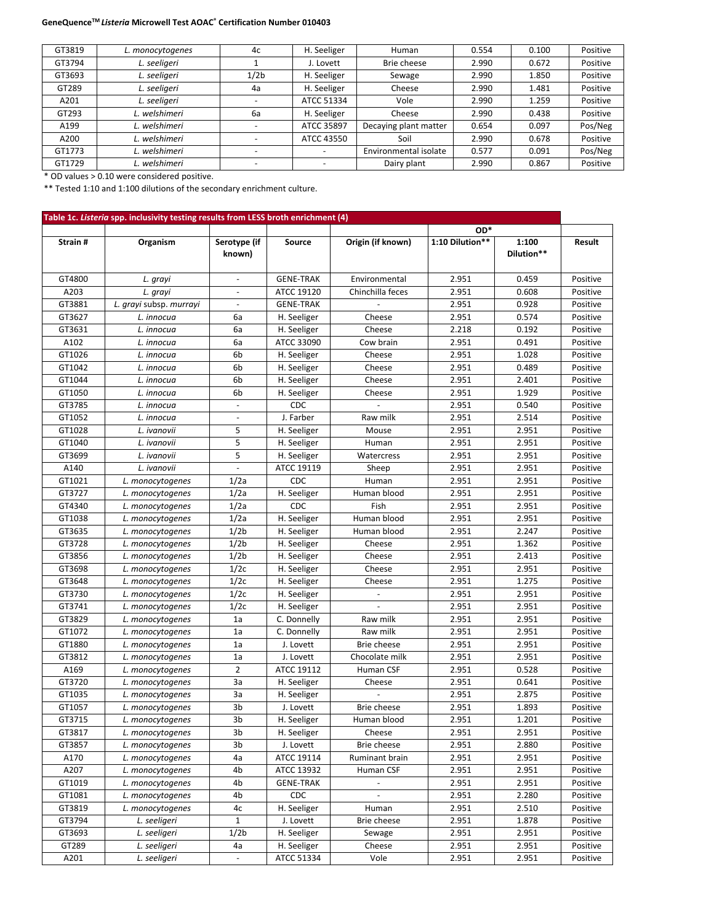| GT3819 | L. monocytogenes | 4c                       | H. Seeliger              | Human                 | 0.554 | 0.100 | Positive |
|--------|------------------|--------------------------|--------------------------|-----------------------|-------|-------|----------|
| GT3794 | L. seeligeri     |                          | J. Lovett                | Brie cheese           | 2.990 | 0.672 | Positive |
| GT3693 | L. seeligeri     | 1/2 <sub>b</sub>         | H. Seeliger              | Sewage                | 2.990 | 1.850 | Positive |
| GT289  | L. seeligeri     | 4a                       | H. Seeliger              | Cheese                | 2.990 | 1.481 | Positive |
| A201   | L. seeligeri     | <b>.</b>                 | ATCC 51334               | Vole                  | 2.990 | 1.259 | Positive |
| GT293  | L. welshimeri    | 6a                       | H. Seeliger              | Cheese                | 2.990 | 0.438 | Positive |
| A199   | L. welshimeri    |                          | ATCC 35897               | Decaying plant matter | 0.654 | 0.097 | Pos/Neg  |
| A200   | L. welshimeri    |                          | ATCC 43550               | Soil                  | 2.990 | 0.678 | Positive |
| GT1773 | L. welshimeri    | $\overline{\phantom{0}}$ | $\overline{\phantom{a}}$ | Environmental isolate | 0.577 | 0.091 | Pos/Neg  |
| GT1729 | L. welshimeri    |                          | $\overline{\phantom{0}}$ | Dairy plant           | 2.990 | 0.867 | Positive |

\* OD values > 0.10 were considered positive.

\*\* Tested 1:10 and 1:100 dilutions of the secondary enrichment culture.

|          |                         |                          |                  |                          | OD*             |                     |          |
|----------|-------------------------|--------------------------|------------------|--------------------------|-----------------|---------------------|----------|
| Strain # | Organism                | Serotype (if<br>known)   | Source           | Origin (if known)        | 1:10 Dilution** | 1:100<br>Dilution** | Result   |
| GT4800   | L. grayi                | $\sim$                   | <b>GENE-TRAK</b> | Environmental            | 2.951           | 0.459               | Positive |
| A203     | L. grayi                | $\overline{\phantom{a}}$ | ATCC 19120       | Chinchilla feces         | 2.951           | 0.608               | Positive |
| GT3881   | L. grayi subsp. murrayi | $\overline{\phantom{a}}$ | <b>GENE-TRAK</b> |                          | 2.951           | 0.928               | Positive |
| GT3627   | L. innocua              | 6а                       | H. Seeliger      | Cheese                   | 2.951           | 0.574               | Positive |
| GT3631   | L. innocua              | 6а                       | H. Seeliger      | Cheese                   | 2.218           | 0.192               | Positive |
| A102     | L. innocua              | 6а                       | ATCC 33090       | Cow brain                | 2.951           | 0.491               | Positive |
| GT1026   | L. innocua              | 6b                       | H. Seeliger      | Cheese                   | 2.951           | 1.028               | Positive |
| GT1042   | L. innocua              | 6b                       | H. Seeliger      | Cheese                   | 2.951           | 0.489               | Positive |
| GT1044   | L. innocua              | 6b                       | H. Seeliger      | Cheese                   | 2.951           | 2.401               | Positive |
| GT1050   | L. innocua              | 6b                       | H. Seeliger      | Cheese                   | 2.951           | 1.929               | Positive |
| GT3785   | L. innocua              | $\blacksquare$           | CDC              |                          | 2.951           | 0.540               | Positive |
| GT1052   | L. innocua              | $\blacksquare$           | J. Farber        | Raw milk                 | 2.951           | 2.514               | Positive |
| GT1028   | L. ivanovii             | 5                        | H. Seeliger      | Mouse                    | 2.951           | 2.951               | Positive |
| GT1040   | L. ivanovii             | 5                        | H. Seeliger      | Human                    | 2.951           | 2.951               | Positive |
| GT3699   | L. ivanovii             | 5                        | H. Seeliger      | Watercress               | 2.951           | 2.951               | Positive |
| A140     | L. ivanovii             | $\mathbf{r}$             | ATCC 19119       | Sheep                    | 2.951           | 2.951               | Positive |
| GT1021   | L. monocytogenes        | 1/2a                     | CDC              | Human                    | 2.951           | 2.951               | Positive |
| GT3727   | L. monocytogenes        | 1/2a                     | H. Seeliger      | Human blood              | 2.951           | 2.951               | Positive |
| GT4340   | L. monocytogenes        | 1/2a                     | CDC              | Fish                     | 2.951           | 2.951               | Positive |
| GT1038   | L. monocytogenes        | 1/2a                     | H. Seeliger      | Human blood              | 2.951           | 2.951               | Positive |
| GT3635   | L. monocytogenes        | 1/2 <sub>b</sub>         | H. Seeliger      | Human blood              | 2.951           | 2.247               | Positive |
| GT3728   | L. monocytogenes        | 1/2 <sub>b</sub>         | H. Seeliger      | Cheese                   | 2.951           | 1.362               | Positive |
| GT3856   | L. monocytogenes        | 1/2 <sub>b</sub>         | H. Seeliger      | Cheese                   | 2.951           | 2.413               | Positive |
| GT3698   |                         | 1/2c                     |                  | Cheese                   | 2.951           | 2.951               | Positive |
| GT3648   | L. monocytogenes        | 1/2c                     | H. Seeliger      |                          | 2.951           | 1.275               | Positive |
|          | L. monocytogenes        |                          | H. Seeliger      | Cheese<br>$\blacksquare$ |                 |                     |          |
| GT3730   | L. monocytogenes        | 1/2c<br>1/2c             | H. Seeliger      |                          | 2.951           | 2.951<br>2.951      | Positive |
| GT3741   | L. monocytogenes        |                          | H. Seeliger      |                          | 2.951           |                     | Positive |
| GT3829   | L. monocytogenes        | 1a                       | C. Donnelly      | Raw milk                 | 2.951           | 2.951               | Positive |
| GT1072   | L. monocytogenes        | 1a                       | C. Donnelly      | Raw milk                 | 2.951           | 2.951               | Positive |
| GT1880   | L. monocytogenes        | 1a                       | J. Lovett        | Brie cheese              | 2.951           | 2.951               | Positive |
| GT3812   | L. monocytogenes        | 1a                       | J. Lovett        | Chocolate milk           | 2.951           | 2.951               | Positive |
| A169     | L. monocytogenes        | $\overline{2}$           | ATCC 19112       | Human CSF                | 2.951           | 0.528               | Positive |
| GT3720   | L. monocytogenes        | За                       | H. Seeliger      | Cheese                   | 2.951           | 0.641               | Positive |
| GT1035   | L. monocytogenes        | 3a                       | H. Seeliger      |                          | 2.951           | 2.875               | Positive |
| GT1057   | L. monocytogenes        | 3b                       | J. Lovett        | Brie cheese              | 2.951           | 1.893               | Positive |
| GT3715   | L. monocytogenes        | 3b                       | H. Seeliger      | Human blood              | 2.951           | 1.201               | Positive |
| GT3817   | L. monocytogenes        | 3b                       | H. Seeliger      | Cheese                   | 2.951           | 2.951               | Positive |
| GT3857   | L. monocytogenes        | 3b                       | J. Lovett        | Brie cheese              | 2.951           | 2.880               | Positive |
| A170     | L. monocytogenes        | 4а                       | ATCC 19114       | Ruminant brain           | 2.951           | 2.951               | Positive |
| A207     | L. monocytogenes        | 4b                       | ATCC 13932       | Human CSF                | 2.951           | 2.951               | Positive |
| GT1019   | L. monocytogenes        | 4b                       | <b>GENE-TRAK</b> | $\overline{\phantom{a}}$ | 2.951           | 2.951               | Positive |
| GT1081   | L. monocytogenes        | 4b                       | <b>CDC</b>       |                          | 2.951           | 2.280               | Positive |
| GT3819   | L. monocytogenes        | 4c                       | H. Seeliger      | Human                    | 2.951           | 2.510               | Positive |
| GT3794   | L. seeligeri            | $\mathbf 1$              | J. Lovett        | Brie cheese              | 2.951           | 1.878               | Positive |
| GT3693   | L. seeligeri            | 1/2 <sub>b</sub>         | H. Seeliger      | Sewage                   | 2.951           | 2.951               | Positive |
| GT289    | L. seeligeri            | 4а                       | H. Seeliger      | Cheese                   | 2.951           | 2.951               | Positive |
| A201     | L. seeligeri            | $\overline{\phantom{a}}$ | ATCC 51334       | Vole                     | 2.951           | 2.951               | Positive |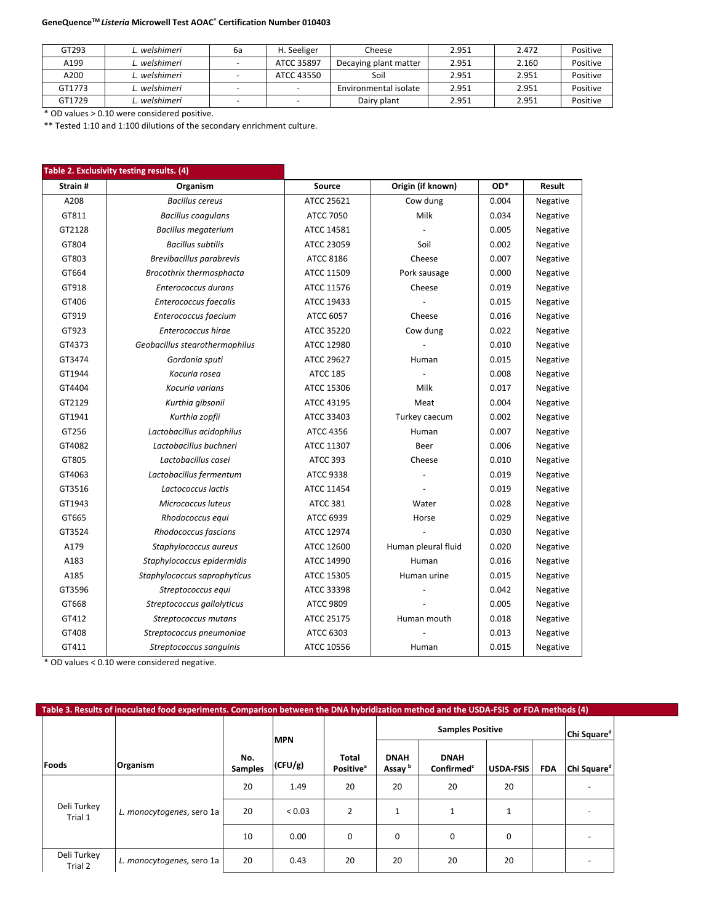| GT293  | L. welshimeri | 6а | H. Seeliger | Cheese                | 2.951 | 2.472 | Positive |
|--------|---------------|----|-------------|-----------------------|-------|-------|----------|
| A199   | L. welshimeri |    | ATCC 35897  | Decaying plant matter | 2.951 | 2.160 | Positive |
| A200   | L. welshimeri |    | ATCC 43550  | Soil                  | 2.951 | 2.951 | Positive |
| GT1773 | L. welshimeri |    |             | Environmental isolate | 2.951 | 2.951 | Positive |
| GT1729 | L. welshimeri |    | -           | Dairy plant           | 2.951 | 2.951 | Positive |

\* OD values > 0.10 were considered positive.

\*\* Tested 1:10 and 1:100 dilutions of the secondary enrichment culture.

|         | Table 2. Exclusivity testing results. (4) |                   |                     |       |          |
|---------|-------------------------------------------|-------------------|---------------------|-------|----------|
| Strain# | Organism                                  | Source            | Origin (if known)   | OD*   | Result   |
| A208    | <b>Bacillus cereus</b>                    | <b>ATCC 25621</b> | Cow dung            | 0.004 | Negative |
| GT811   | <b>Bacillus coagulans</b>                 | <b>ATCC 7050</b>  | Milk                | 0.034 | Negative |
| GT2128  | <b>Bacillus megaterium</b>                | ATCC 14581        |                     | 0.005 | Negative |
| GT804   | <b>Bacillus subtilis</b>                  | ATCC 23059        | Soil                | 0.002 | Negative |
| GT803   | Brevibacillus parabrevis                  | <b>ATCC 8186</b>  | Cheese              | 0.007 | Negative |
| GT664   | Brocothrix thermosphacta                  | ATCC 11509        | Pork sausage        | 0.000 | Negative |
| GT918   | Enterococcus durans                       | ATCC 11576        | Cheese              | 0.019 | Negative |
| GT406   | Enterococcus faecalis                     | ATCC 19433        |                     | 0.015 | Negative |
| GT919   | Enterococcus faecium                      | ATCC 6057         | Cheese              | 0.016 | Negative |
| GT923   | Enterococcus hirae                        | ATCC 35220        | Cow dung            | 0.022 | Negative |
| GT4373  | Geobacillus stearothermophilus            | ATCC 12980        |                     | 0.010 | Negative |
| GT3474  | Gordonia sputi                            | ATCC 29627        | Human               | 0.015 | Negative |
| GT1944  | Kocuria rosea                             | <b>ATCC 185</b>   |                     | 0.008 | Negative |
| GT4404  | Kocuria varians                           | ATCC 15306        | Milk                | 0.017 | Negative |
| GT2129  | Kurthia gibsonii                          | ATCC 43195        | Meat                | 0.004 | Negative |
| GT1941  | Kurthia zopfii                            | ATCC 33403        | Turkey caecum       | 0.002 | Negative |
| GT256   | Lactobacillus acidophilus                 | <b>ATCC 4356</b>  | Human               | 0.007 | Negative |
| GT4082  | Lactobacillus buchneri                    | ATCC 11307        | Beer                | 0.006 | Negative |
| GT805   | Lactobacillus casei                       | <b>ATCC 393</b>   | Cheese              | 0.010 | Negative |
| GT4063  | Lactobacillus fermentum                   | <b>ATCC 9338</b>  |                     | 0.019 | Negative |
| GT3516  | Lactococcus lactis                        | ATCC 11454        |                     | 0.019 | Negative |
| GT1943  | Micrococcus luteus                        | <b>ATCC 381</b>   | Water               | 0.028 | Negative |
| GT665   | Rhodococcus equi                          | ATCC 6939         | Horse               | 0.029 | Negative |
| GT3524  | Rhodococcus fascians                      | ATCC 12974        |                     | 0.030 | Negative |
| A179    | Staphylococcus aureus                     | ATCC 12600        | Human pleural fluid | 0.020 | Negative |
| A183    | Staphylococcus epidermidis                | ATCC 14990        | Human               | 0.016 | Negative |
| A185    | Staphylococcus saprophyticus              | <b>ATCC 15305</b> | Human urine         | 0.015 | Negative |
| GT3596  | Streptococcus equi                        | ATCC 33398        |                     | 0.042 | Negative |
| GT668   | Streptococcus gallolyticus                | <b>ATCC 9809</b>  |                     | 0.005 | Negative |
| GT412   | Streptococcus mutans                      | ATCC 25175        | Human mouth         | 0.018 | Negative |
| GT408   | Streptococcus pneumoniae                  | ATCC 6303         |                     | 0.013 | Negative |
| GT411   | Streptococcus sanguinis                   | ATCC 10556        | Human               | 0.015 | Negative |

\* OD values < 0.10 were considered negative.

| Table 3. Results of inoculated food experiments. Comparison between the DNA hybridization method and the USDA-FSIS or FDA methods (4) |                           |                       |            |                                              |                                   |                                       |                  |            |                         |  |  |
|---------------------------------------------------------------------------------------------------------------------------------------|---------------------------|-----------------------|------------|----------------------------------------------|-----------------------------------|---------------------------------------|------------------|------------|-------------------------|--|--|
|                                                                                                                                       |                           |                       | <b>MPN</b> |                                              |                                   | <b>Samples Positive</b>               |                  |            | Chi Square <sup>d</sup> |  |  |
| Foods                                                                                                                                 | Organism                  | No.<br><b>Samples</b> | (CFU/g)    | <b>Total</b><br><b>Positive</b> <sup>a</sup> | <b>DNAH</b><br>Assay <sup>b</sup> | <b>DNAH</b><br>Confirmed <sup>c</sup> | <b>USDA FSIS</b> | <b>FDA</b> | Chi Square <sup>d</sup> |  |  |
|                                                                                                                                       |                           | 20                    | 1.49       | 20                                           | 20                                | 20                                    | 20               |            |                         |  |  |
| Deli Turkey<br>Trial 1                                                                                                                | L. monocytogenes, sero 1a | 20                    | < 0.03     | 2                                            | 1                                 |                                       | 1                |            |                         |  |  |
|                                                                                                                                       |                           | 10                    | 0.00       | 0                                            | 0                                 | 0                                     | 0                |            |                         |  |  |
| Deli Turkey<br>Trial 2                                                                                                                | L. monocytogenes, sero 1a | 20                    | 0.43       | 20                                           | 20                                | 20                                    | 20               |            |                         |  |  |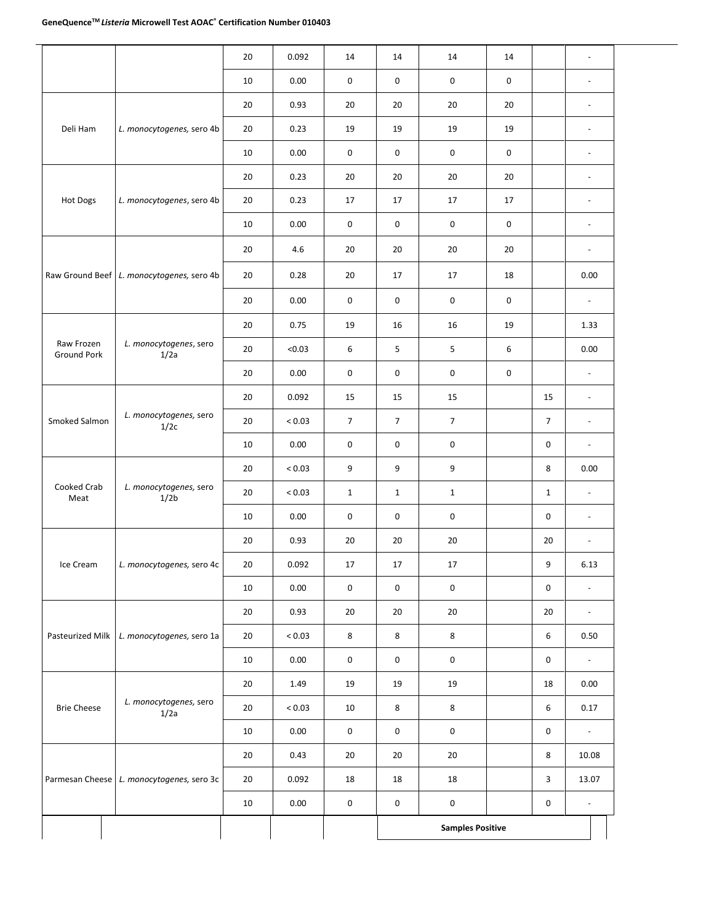l,

|                                  |                                             | 20       | 0.43           | 20                             | 20                             | 20                             |                     | 8              | 10.08                            |
|----------------------------------|---------------------------------------------|----------|----------------|--------------------------------|--------------------------------|--------------------------------|---------------------|----------------|----------------------------------|
|                                  | 1/2a                                        | 10       | 0.00           | 0                              | 0                              | $\mathsf{O}\xspace$            |                     | 0              | $\overline{\phantom{a}}$         |
| <b>Brie Cheese</b>               | L. monocytogenes, sero                      | 20       | < 0.03         | $10\,$                         | 8                              | $\bf 8$                        |                     | 6              | 0.17                             |
|                                  |                                             | 20       | 1.49           | 19                             | 19                             | 19                             |                     | 18             | $\overline{\phantom{a}}$<br>0.00 |
| Pasteurized Milk                 | L. monocytogenes, sero 1a                   | 20<br>10 | < 0.03<br>0.00 | $\bf 8$<br>$\mathsf{O}\xspace$ | $\bf 8$<br>$\mathsf{O}\xspace$ | $\bf 8$<br>$\mathsf{O}\xspace$ |                     | 6<br>0         | 0.50                             |
|                                  |                                             | 20       | 0.93           | 20                             | 20                             | 20                             |                     | 20             | $\overline{\phantom{a}}$         |
|                                  |                                             | 10       | 0.00           | 0                              | $\mathsf{O}\xspace$            | $\mathsf{O}\xspace$            |                     | 0              | $\overline{\phantom{a}}$         |
| Ice Cream                        | L. monocytogenes, sero 4c                   | 20       | 0.092          | 17                             | 17                             | 17                             |                     | 9              | 6.13                             |
|                                  |                                             | 20       | 0.93           | 20                             | 20                             | 20                             |                     | 20             | $\overline{\phantom{a}}$         |
|                                  |                                             | 10       | 0.00           | 0                              | 0                              | $\mathsf{O}\xspace$            |                     | 0              | $\overline{\phantom{a}}$         |
| Cooked Crab<br>Meat              | L. monocytogenes, sero<br>1/2b              | 20       | ${}_{< 0.03}$  | $\mathbf{1}$                   | $\mathbf{1}$                   | $\mathbf{1}$                   |                     | $\mathbf{1}$   | $\blacksquare$                   |
|                                  |                                             | 20       | < 0.03         | 9                              | 9                              | 9                              |                     | 8              | 0.00                             |
|                                  |                                             | 10       | 0.00           | 0                              | $\pmb{0}$                      | $\mathsf 0$                    |                     | 0              | $\overline{\phantom{a}}$         |
| Smoked Salmon                    | L. monocytogenes, sero<br>1/2c              | 20       | ${}_{< 0.03}$  | $\overline{7}$                 | $\overline{7}$                 | $\overline{7}$                 |                     | $\overline{7}$ | $\overline{\phantom{a}}$         |
|                                  |                                             | 20       | 0.092          | 15                             | 15                             | 15                             |                     | 15             | $\overline{\phantom{a}}$         |
|                                  |                                             | 20       | 0.00           | 0                              | 0                              | $\mathsf 0$                    | $\mathsf{O}\xspace$ |                | $\overline{\phantom{a}}$         |
| Raw Frozen<br><b>Ground Pork</b> | L. monocytogenes, sero<br>1/2a              | 20       | < 0.03         | 6                              | 5                              | 5                              | 6                   |                | 0.00                             |
|                                  |                                             | 20       | 0.75           | 19                             | 16                             | 16                             | 19                  |                | 1.33                             |
|                                  |                                             | 20       | 0.00           | 0                              | 0                              | $\mathsf{O}\xspace$            | 0                   |                | $\blacksquare$                   |
|                                  | Raw Ground Beef   L. monocytogenes, sero 4b | 20       | 0.28           | 20                             | 17                             | 17                             | 18                  |                | 0.00                             |
|                                  |                                             | 20       | 4.6            | 20                             | 20                             | 20                             | 20                  |                | $\overline{\phantom{a}}$         |
|                                  |                                             | 10       | 0.00           | 0                              | $\mathsf{O}\xspace$            | $\mathsf{O}\xspace$            | $\mathsf{O}\xspace$ |                | $\overline{\phantom{a}}$         |
| Hot Dogs                         | L. monocytogenes, sero 4b                   | 20       | 0.23           | 17                             | 17                             | 17                             | 17                  |                | $\overline{\phantom{a}}$         |
|                                  |                                             | 20       | 0.23           | 20                             | 20                             | 20                             | 20                  |                | $\blacksquare$                   |
|                                  |                                             | 10       | 0.00           | 0                              | 0                              | $\mathsf{O}\xspace$            | $\mathsf{O}\xspace$ |                | $\overline{\phantom{a}}$         |
| Deli Ham                         | L. monocytogenes, sero 4b                   | 20       | 0.23           | 19                             | 19                             | 19                             | 19                  |                | $\overline{\phantom{a}}$         |
|                                  |                                             | 20       | 0.93           | 20                             | 20                             | 20                             | 20                  |                | $\blacksquare$                   |
|                                  |                                             | 10       | 0.00           | 0                              | 0                              | 0                              | 0                   |                | $\overline{\phantom{a}}$         |
|                                  |                                             | 20       | 0.092          | 14                             | 14                             | 14                             | 14                  |                | $\overline{\phantom{a}}$         |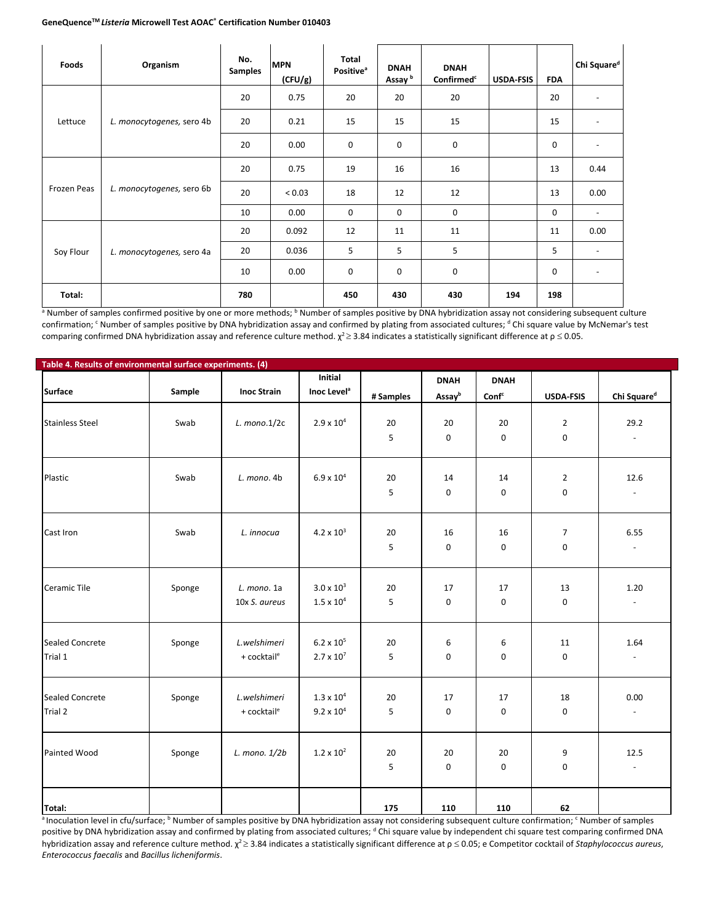I

| Foods       | Organism                  | No.<br><b>Samples</b> | <b>MPN</b><br>(CFU/g) | Total<br><b>Positive</b> <sup>a</sup> | <b>DNAH</b><br>Assay <sup>b</sup> | <b>DNAH</b><br>Confirmed <sup>c</sup> | <b>USDA-FSIS</b> | <b>FDA</b> | Chi Square <sup>d</sup>  |
|-------------|---------------------------|-----------------------|-----------------------|---------------------------------------|-----------------------------------|---------------------------------------|------------------|------------|--------------------------|
|             |                           | 20                    | 0.75                  | 20                                    | 20                                | 20                                    |                  | 20         |                          |
| Lettuce     | L. monocytogenes, sero 4b | 20                    | 0.21                  | 15                                    | 15                                | 15                                    |                  | 15         |                          |
|             |                           | 20                    | 0.00                  | $\mathbf 0$                           | 0                                 | $\pmb{0}$                             |                  | 0          |                          |
|             |                           | 20                    | 0.75                  | 19                                    | 16                                | 16                                    |                  | 13         | 0.44                     |
| Frozen Peas | L. monocytogenes, sero 6b | 20                    | ${}_{0.03}$           | 18                                    | 12                                | 12                                    |                  | 13         | 0.00                     |
|             |                           | 10                    | 0.00                  | $\mathbf 0$                           | 0                                 | 0                                     |                  | 0          | $\overline{\phantom{a}}$ |
|             |                           | 20                    | 0.092                 | 12                                    | 11                                | 11                                    |                  | 11         | 0.00                     |
| Soy Flour   | L. monocytogenes, sero 4a | 20                    | 0.036                 | 5                                     | 5                                 | 5                                     |                  | 5          |                          |
|             |                           | 10                    | 0.00                  | 0                                     | 0                                 | $\pmb{0}$                             |                  | 0          | $\overline{\phantom{a}}$ |
| Total:      |                           | 780                   |                       | 450                                   | 430                               | 430                                   | 194              | 198        |                          |

a Number of samples confirmed positive by one or more methods; <sup>b</sup> Number of samples positive by DNA hybridization assay not considering subsequent culture confirmation; <sup>c</sup> Number of samples positive by DNA hybridization assay and confirmed by plating from associated cultures; <sup>d</sup> Chi square value by McNemar's test comparing confirmed DNA hybridization assay and reference culture method.  $\chi^2$  2.3.84 indicates a statistically significant difference at  $\rho \le 0.05$ .

| Table 4. Results of environmental surface experiments. (4) |        |                         |                         |           |             |                   |                  |                          |
|------------------------------------------------------------|--------|-------------------------|-------------------------|-----------|-------------|-------------------|------------------|--------------------------|
|                                                            |        |                         | Initial                 |           | <b>DNAH</b> | <b>DNAH</b>       |                  |                          |
| Surface                                                    | Sample | <b>Inoc Strain</b>      | Inoc Level <sup>a</sup> | # Samples | Assayb      | Conf <sup>c</sup> | <b>USDA-FSIS</b> | Chi Square <sup>d</sup>  |
|                                                            |        |                         |                         |           |             |                   |                  |                          |
| <b>Stainless Steel</b>                                     | Swab   | $L.$ mono. $1/2c$       | $2.9 \times 10^{4}$     | 20        | 20          | 20                | $\overline{2}$   | 29.2                     |
|                                                            |        |                         |                         | 5         | 0           | $\pmb{0}$         | 0                |                          |
|                                                            |        |                         |                         |           |             |                   |                  |                          |
| Plastic                                                    | Swab   | L. mono. 4b             | $6.9 \times 10^{4}$     | 20        | 14          | 14                | $\overline{2}$   | 12.6                     |
|                                                            |        |                         |                         | 5         | 0           | 0                 | 0                |                          |
| Cast Iron                                                  | Swab   | L. innocua              | $4.2 \times 10^3$       | 20        | 16          | 16                |                  | 6.55                     |
|                                                            |        |                         |                         |           |             |                   | 7                |                          |
|                                                            |        |                         |                         | 5         | 0           | $\pmb{0}$         | 0                |                          |
| Ceramic Tile                                               | Sponge | L. mono. 1a             | $3.0 \times 10^{3}$     | 20        | 17          | 17                | 13               | 1.20                     |
|                                                            |        | 10x S. aureus           | $1.5 \times 10^4$       | 5         | 0           | $\pmb{0}$         | 0                | $\overline{\phantom{a}}$ |
|                                                            |        |                         |                         |           |             |                   |                  |                          |
| Sealed Concrete                                            | Sponge | L.welshimeri            | $6.2 \times 10^{5}$     | 20        | 6           | 6                 | 11               | 1.64                     |
| Trial 1                                                    |        | + cocktail <sup>e</sup> | $2.7 \times 10^{7}$     | 5         | 0           | $\pmb{0}$         | 0                |                          |
|                                                            |        |                         |                         |           |             |                   |                  |                          |
| Sealed Concrete                                            | Sponge | L.welshimeri            | $1.3 \times 10^{4}$     | 20        | 17          | 17                | 18               | 0.00                     |
| Trial 2                                                    |        | + cocktail <sup>e</sup> | $9.2 \times 10^{4}$     | 5         | 0           | $\pmb{0}$         | 0                | $\overline{\phantom{a}}$ |
|                                                            |        |                         |                         |           |             |                   |                  |                          |
| Painted Wood                                               | Sponge | L. mono. 1/2b           | $1.2 \times 10^{2}$     | 20        | 20          | 20                | 9                | 12.5                     |
|                                                            |        |                         |                         | 5         | 0           | 0                 | 0                | $\overline{\phantom{a}}$ |
|                                                            |        |                         |                         |           |             |                   |                  |                          |
| Total:                                                     |        |                         |                         | 175       | 110         | 110               | 62               |                          |

a Inoculation level in cfu/surface; <sup>b</sup> Number of samples positive by DNA hybridization assay not considering subsequent culture confirmation; <sup>c</sup> Number of samples positive by DNA hybridization assay and confirmed by plating from associated cultures; d Chi square value by independent chi square test comparing confirmed DNA hybridization assay and reference culture method.  $\chi^2$  ≥ 3.84 indicates a statistically significant difference at  $\rho \le 0.05$ ; e Competitor cocktail of *Staphylococcus aureus*, *Enterococcus faecalis* and *Bacillus licheniformis*.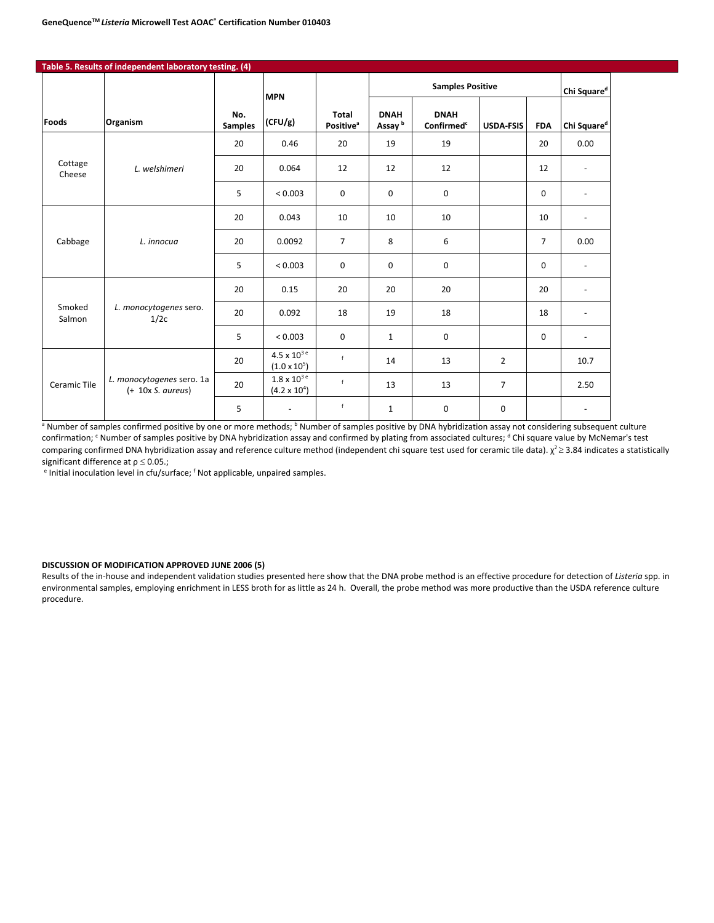|                   | Table 5. Results of independent laboratory testing. (4) |                       |                                                         |                                              |                                   |                                       |                  |                |                          |
|-------------------|---------------------------------------------------------|-----------------------|---------------------------------------------------------|----------------------------------------------|-----------------------------------|---------------------------------------|------------------|----------------|--------------------------|
|                   |                                                         |                       | <b>MPN</b>                                              |                                              |                                   | <b>Samples Positive</b>               |                  |                | Chi Square <sup>d</sup>  |
| <b>Foods</b>      | Organism                                                | No.<br><b>Samples</b> | (CFU/g)                                                 | <b>Total</b><br><b>Positive</b> <sup>a</sup> | <b>DNAH</b><br>Assay <sup>b</sup> | <b>DNAH</b><br>Confirmed <sup>c</sup> | <b>USDA-FSIS</b> | <b>FDA</b>     | Chi Square <sup>d</sup>  |
|                   |                                                         | 20                    | 0.46                                                    | 20                                           | 19                                | 19                                    |                  | 20             | 0.00                     |
| Cottage<br>Cheese | L. welshimeri                                           | 20                    | 0.064                                                   | 12                                           | 12                                | 12                                    |                  | 12             |                          |
|                   |                                                         | 5                     | < 0.003                                                 | 0                                            | 0                                 | $\mathbf 0$                           |                  | 0              | $\overline{\phantom{a}}$ |
|                   |                                                         | 20                    | 0.043                                                   | 10                                           | 10                                | 10                                    |                  | 10             | $\overline{\phantom{a}}$ |
| Cabbage           | L. innocua                                              | 20                    | 0.0092                                                  | $\overline{7}$                               | 8                                 | 6                                     |                  | $\overline{7}$ | 0.00                     |
|                   |                                                         | 5                     | < 0.003                                                 | 0                                            | 0                                 | $\mathbf 0$                           |                  | $\mathbf 0$    | $\overline{\phantom{a}}$ |
|                   |                                                         | 20                    | 0.15                                                    | 20                                           | 20                                | 20                                    |                  | 20             | $\overline{\phantom{a}}$ |
| Smoked<br>Salmon  | L. monocytogenes sero.<br>1/2c                          | 20                    | 0.092                                                   | 18                                           | 19                                | 18                                    |                  | 18             | $\overline{\phantom{a}}$ |
|                   |                                                         | 5                     | < 0.003                                                 | $\mathbf 0$                                  | $\mathbf{1}$                      | $\mathbf 0$                           |                  | $\mathbf 0$    | $\overline{\phantom{a}}$ |
|                   |                                                         | 20                    | $4.5\times10^{3}$ e<br>$(1.0 \times 10^5)$              | f                                            | 14                                | 13                                    | $\overline{2}$   |                | 10.7                     |
| Ceramic Tile      | L. monocytogenes sero. 1a<br>$(+ 10x S. aureus)$        | 20                    | $1.8 \times 10^{3}$ <sup>e</sup><br>$(4.2 \times 10^4)$ | f                                            | 13                                | 13                                    | $\overline{7}$   |                | 2.50                     |
|                   |                                                         | 5                     | $\blacksquare$                                          | f                                            | $\mathbf{1}$                      | $\mathbf 0$                           | 0                |                | $\overline{\phantom{a}}$ |

a Number of samples confirmed positive by one or more methods; <sup>b</sup> Number of samples positive by DNA hybridization assay not considering subsequent culture confirmation; <sup>c</sup> Number of samples positive by DNA hybridization assay and confirmed by plating from associated cultures; <sup>d</sup> Chi square value by McNemar's test comparing confirmed DNA hybridization assay and reference culture method (independent chi square test used for ceramic tile data).  $\chi^2 \geq 3.84$  indicates a statistically significant difference at  $p \le 0.05$ .;

e Initial inoculation level in cfu/surface; f Not applicable, unpaired samples.

#### **DISCUSSION OF MODIFICATION APPROVED JUNE 2006 (5)**

Results of the in-house and independent validation studies presented here show that the DNA probe method is an effective procedure for detection of *Listeria* spp. in environmental samples, employing enrichment in LESS broth for as little as 24 h. Overall, the probe method was more productive than the USDA reference culture procedure.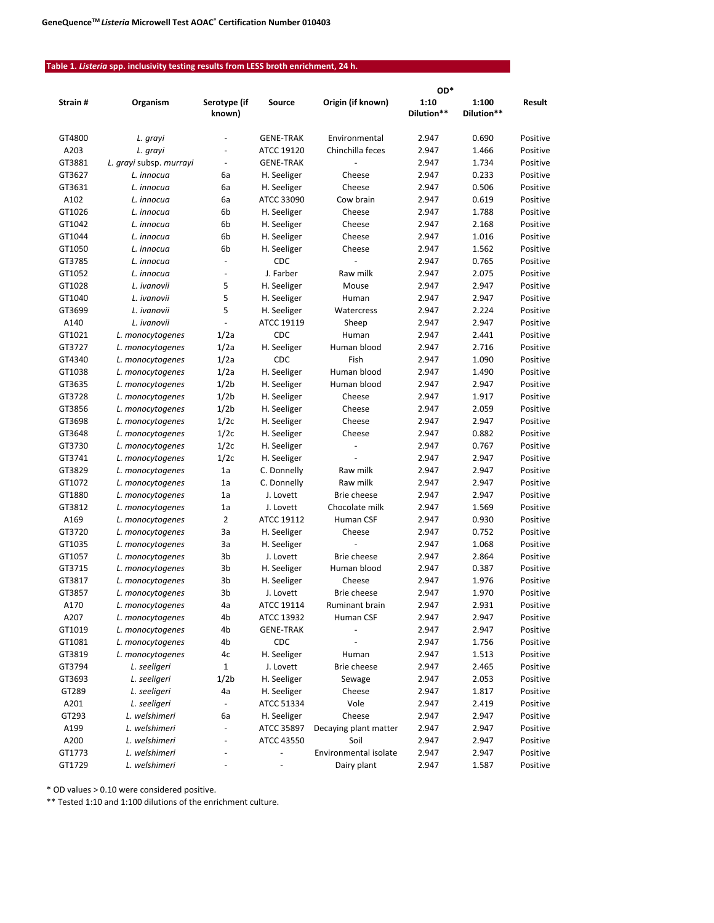# **Table 1.** *Listeria* **spp. inclusivity testing results from LESS broth enrichment, 24 h.**

|         |                         |                          |                  |                       | OD*                |                     |          |
|---------|-------------------------|--------------------------|------------------|-----------------------|--------------------|---------------------|----------|
| Strain# | Organism                | Serotype (if<br>known)   | Source           | Origin (if known)     | 1:10<br>Dilution** | 1:100<br>Dilution** | Result   |
| GT4800  | L. grayi                |                          | <b>GENE-TRAK</b> | Environmental         | 2.947              | 0.690               | Positive |
| A203    | L. grayi                | $\overline{\phantom{a}}$ | ATCC 19120       | Chinchilla feces      | 2.947              | 1.466               | Positive |
| GT3881  | L. grayi subsp. murrayi | $\blacksquare$           | <b>GENE-TRAK</b> |                       | 2.947              | 1.734               | Positive |
| GT3627  | L. innocua              | 6a                       | H. Seeliger      | Cheese                | 2.947              | 0.233               | Positive |
| GT3631  | L. innocua              | 6а                       | H. Seeliger      | Cheese                | 2.947              | 0.506               | Positive |
| A102    | L. innocua              | 6a                       | ATCC 33090       | Cow brain             | 2.947              | 0.619               | Positive |
| GT1026  | L. innocua              | 6b                       | H. Seeliger      | Cheese                | 2.947              | 1.788               | Positive |
| GT1042  | L. innocua              | 6b                       | H. Seeliger      | Cheese                | 2.947              | 2.168               | Positive |
| GT1044  | L. innocua              | 6b                       | H. Seeliger      | Cheese                | 2.947              | 1.016               | Positive |
| GT1050  | L. innocua              | 6b                       | H. Seeliger      | Cheese                | 2.947              | 1.562               | Positive |
| GT3785  | L. innocua              | $\blacksquare$           | CDC              |                       | 2.947              | 0.765               | Positive |
| GT1052  | L. innocua              | $\blacksquare$           | J. Farber        | Raw milk              | 2.947              | 2.075               | Positive |
| GT1028  | L. ivanovii             | 5                        | H. Seeliger      | Mouse                 | 2.947              | 2.947               | Positive |
| GT1040  | L. ivanovii             | 5                        | H. Seeliger      | Human                 | 2.947              | 2.947               | Positive |
| GT3699  | L. ivanovii             | 5                        | H. Seeliger      | Watercress            | 2.947              | 2.224               | Positive |
| A140    | L. ivanovii             | $\blacksquare$           | ATCC 19119       | Sheep                 | 2.947              | 2.947               | Positive |
| GT1021  | L. monocytogenes        | 1/2a                     | CDC              | Human                 | 2.947              | 2.441               | Positive |
| GT3727  | L. monocytogenes        | 1/2a                     | H. Seeliger      | Human blood           | 2.947              | 2.716               | Positive |
| GT4340  | L. monocytogenes        | 1/2a                     | CDC              | Fish                  | 2.947              | 1.090               | Positive |
| GT1038  | L. monocytogenes        | 1/2a                     | H. Seeliger      | Human blood           | 2.947              | 1.490               | Positive |
| GT3635  | L. monocytogenes        | 1/2 <sub>b</sub>         | H. Seeliger      | Human blood           | 2.947              | 2.947               | Positive |
| GT3728  | L. monocytogenes        | 1/2 <sub>b</sub>         | H. Seeliger      | Cheese                | 2.947              | 1.917               | Positive |
| GT3856  | L. monocytogenes        | 1/2 <sub>b</sub>         | H. Seeliger      | Cheese                | 2.947              | 2.059               | Positive |
| GT3698  | L. monocytogenes        | 1/2c                     | H. Seeliger      | Cheese                | 2.947              | 2.947               | Positive |
| GT3648  | L. monocytogenes        | 1/2c                     | H. Seeliger      | Cheese                | 2.947              | 0.882               | Positive |
| GT3730  | L. monocytogenes        | 1/2c                     | H. Seeliger      | ä,                    | 2.947              | 0.767               | Positive |
| GT3741  | L. monocytogenes        | 1/2c                     | H. Seeliger      |                       | 2.947              | 2.947               | Positive |
| GT3829  | L. monocytogenes        | 1a                       | C. Donnelly      | Raw milk              | 2.947              | 2.947               | Positive |
| GT1072  | L. monocytogenes        | 1a                       | C. Donnelly      | Raw milk              | 2.947              | 2.947               | Positive |
| GT1880  | L. monocytogenes        | 1a                       | J. Lovett        | <b>Brie cheese</b>    | 2.947              | 2.947               | Positive |
| GT3812  | L. monocytogenes        | 1a                       | J. Lovett        | Chocolate milk        | 2.947              | 1.569               | Positive |
| A169    | L. monocytogenes        | 2                        | ATCC 19112       | Human CSF             | 2.947              | 0.930               | Positive |
| GT3720  | L. monocytogenes        | За                       | H. Seeliger      | Cheese                | 2.947              | 0.752               | Positive |
| GT1035  | L. monocytogenes        | За                       | H. Seeliger      | L,                    | 2.947              | 1.068               | Positive |
| GT1057  | L. monocytogenes        | 3b                       | J. Lovett        | Brie cheese           | 2.947              | 2.864               | Positive |
| GT3715  | L. monocytogenes        | 3b                       | H. Seeliger      | Human blood           | 2.947              | 0.387               | Positive |
| GT3817  | L. monocytogenes        | 3b                       | H. Seeliger      | Cheese                | 2.947              | 1.976               | Positive |
| GT3857  | L. monocytogenes        | 3b                       | J. Lovett        | Brie cheese           | 2.947              | 1.970               | Positive |
| A170    | L. monocytogenes        | 4a                       | ATCC 19114       | Ruminant brain        | 2.947              | 2.931               | Positive |
| A207    | L. monocytogenes        | 4b                       | ATCC 13932       | Human CSF             | 2.947              | 2.947               | Positive |
| GT1019  | L. monocytogenes        | 4b                       | <b>GENE-TRAK</b> |                       | 2.947              | 2.947               | Positive |
| GT1081  | L. monocytogenes        | 4b                       | CDC              |                       | 2.947              | 1.756               | Positive |
| GT3819  | L. monocytogenes        | 4c                       | H. Seeliger      | Human                 | 2.947              | 1.513               | Positive |
| GT3794  | L. seeligeri            | 1                        | J. Lovett        | Brie cheese           | 2.947              | 2.465               | Positive |
| GT3693  | L. seeligeri            | 1/2 <sub>b</sub>         | H. Seeliger      | Sewage                | 2.947              | 2.053               | Positive |
| GT289   | L. seeligeri            | 4a                       | H. Seeliger      | Cheese                | 2.947              | 1.817               | Positive |
| A201    | L. seeligeri            | ÷.                       | ATCC 51334       | Vole                  | 2.947              | 2.419               | Positive |
| GT293   | L. welshimeri           | 6а                       | H. Seeliger      | Cheese                | 2.947              | 2.947               | Positive |
| A199    | L. welshimeri           |                          | ATCC 35897       | Decaying plant matter | 2.947              | 2.947               | Positive |
| A200    | L. welshimeri           |                          | ATCC 43550       | Soil                  | 2.947              | 2.947               | Positive |
| GT1773  | L. welshimeri           |                          | ÷,               | Environmental isolate | 2.947              | 2.947               | Positive |
| GT1729  | L. welshimeri           | $\overline{\phantom{m}}$ |                  | Dairy plant           | 2.947              | 1.587               | Positive |

\* OD values > 0.10 were considered positive.

\*\* Tested 1:10 and 1:100 dilutions of the enrichment culture.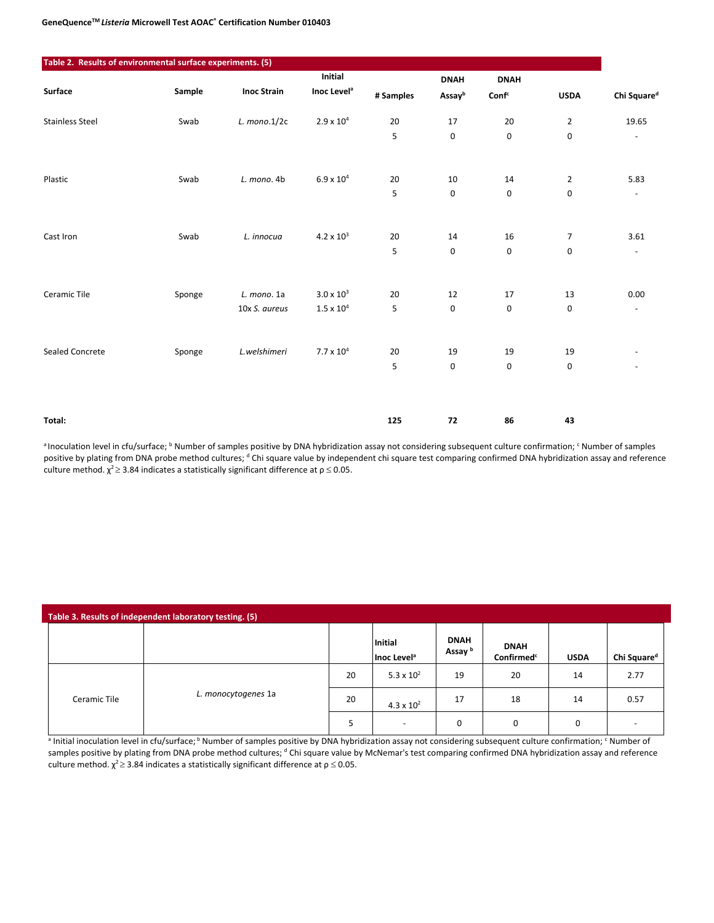| Table 2. Results of environmental surface experiments. (5) |        |                    |                         |           |             |                   |                |                          |
|------------------------------------------------------------|--------|--------------------|-------------------------|-----------|-------------|-------------------|----------------|--------------------------|
|                                                            |        |                    | Initial                 |           | <b>DNAH</b> | <b>DNAH</b>       |                |                          |
| Surface                                                    | Sample | <b>Inoc Strain</b> | Inoc Level <sup>a</sup> | # Samples | Assayb      | Conf <sup>c</sup> | <b>USDA</b>    | Chi Square <sup>d</sup>  |
| <b>Stainless Steel</b>                                     | Swab   | $L.$ mono. $1/2c$  | $2.9 \times 10^{4}$     | 20        | 17          | 20                | $\overline{2}$ | 19.65                    |
|                                                            |        |                    |                         | 5         | $\mathbf 0$ | $\pmb{0}$         | 0              | $\overline{\phantom{a}}$ |
| Plastic                                                    | Swab   | L. mono. 4b        | $6.9 \times 10^{4}$     | 20        | 10          | 14                | $\overline{2}$ | 5.83                     |
|                                                            |        |                    |                         | 5         | $\mathsf 0$ | $\pmb{0}$         | 0              | $\blacksquare$           |
| Cast Iron                                                  | Swab   | L. innocua         | $4.2 \times 10^{3}$     | 20        | 14          | 16                | 7              | 3.61                     |
|                                                            |        |                    |                         | 5         | 0           | $\mathbf 0$       | 0              | $\overline{\phantom{a}}$ |
| Ceramic Tile                                               | Sponge | L. mono. 1a        | $3.0 \times 10^{3}$     | 20        | 12          | 17                | 13             | 0.00                     |
|                                                            |        | 10x S. aureus      | $1.5\times10^4$         | 5         | $\pmb{0}$   | $\pmb{0}$         | 0              | $\overline{\phantom{a}}$ |
| Sealed Concrete                                            | Sponge | L.welshimeri       | $7.7\times10^4$         | 20        | 19          | 19                | 19             |                          |
|                                                            |        |                    |                         | 5         | 0           | $\mathbf 0$       | $\mathbf 0$    | $\overline{\phantom{a}}$ |
|                                                            |        |                    |                         |           |             |                   |                |                          |
| Total:                                                     |        |                    |                         | 125       | 72          | 86                | 43             |                          |

a Inoculation level in cfu/surface; <sup>b</sup> Number of samples positive by DNA hybridization assay not considering subsequent culture confirmation; <sup>c</sup> Number of samples positive by plating from DNA probe method cultures; <sup>d</sup> Chi square value by independent chi square test comparing confirmed DNA hybridization assay and reference culture method.  $\chi^2$   $\geq$  3.84 indicates a statistically significant difference at  $\rho$   $\leq$  0.05.

| Table 3. Results of independent laboratory testing. (5) |                     |    |                                    |                                   |                                       |             |                         |  |  |  |
|---------------------------------------------------------|---------------------|----|------------------------------------|-----------------------------------|---------------------------------------|-------------|-------------------------|--|--|--|
|                                                         |                     |    | Initial<br>Inoc Level <sup>a</sup> | <b>DNAH</b><br>Assay <sup>b</sup> | <b>DNAH</b><br>Confirmed <sup>c</sup> | <b>USDA</b> | Chi Square <sup>d</sup> |  |  |  |
|                                                         |                     | 20 | 5.3 x $10^2$                       | 19                                | 20                                    | 14          | 2.77                    |  |  |  |
| Ceramic Tile                                            | L. monocytogenes 1a | 20 | 4.3 x $10^2$                       | 17                                | 18                                    | 14          | 0.57                    |  |  |  |
|                                                         |                     | 5  | $\overline{\phantom{0}}$           | 0                                 | 0                                     | 0           |                         |  |  |  |

<sup>a</sup> Initial inoculation level in cfu/surface; <sup>b</sup> Number of samples positive by DNA hybridization assay not considering subsequent culture confirmation; <sup>c</sup> Number of samples positive by plating from DNA probe method cultures; <sup>d</sup> Chi square value by McNemar's test comparing confirmed DNA hybridization assay and reference culture method.  $\chi^2$   $\geq$  3.84 indicates a statistically significant difference at  $\rho$   $\leq$  0.05.